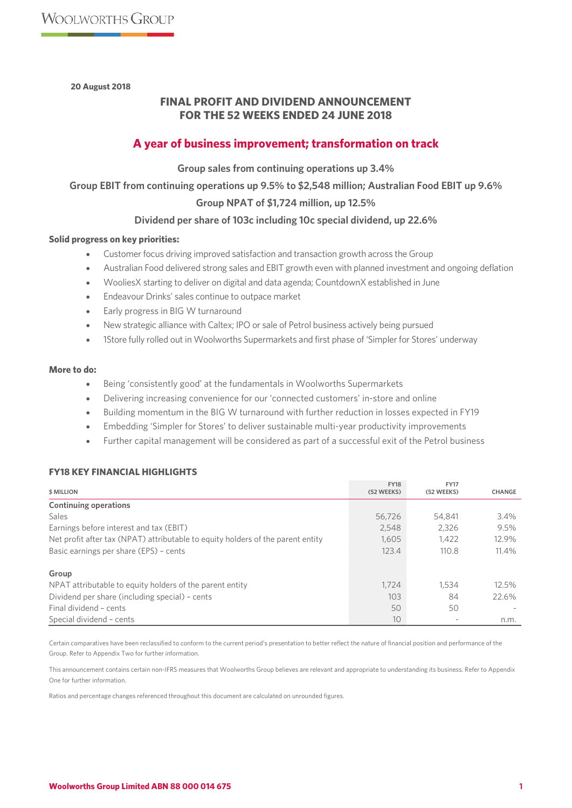**20 August 2018**

# **FINAL PROFIT AND DIVIDEND ANNOUNCEMENT FOR THE 52 WEEKS ENDED 24 JUNE 2018**

# **A year of business improvement; transformation on track**

**Group sales from continuing operations up 3.4%** 

**Group EBIT from continuing operations up 9.5% to \$2,548 million; Australian Food EBIT up 9.6%**

## **Group NPAT of \$1,724 million, up 12.5%**

## **Dividend per share of 103c including 10c special dividend, up 22.6%**

## **Solid progress on key priorities:**

- Customer focus driving improved satisfaction and transaction growth across the Group
- Australian Food delivered strong sales and EBIT growth even with planned investment and ongoing deflation
- WooliesX starting to deliver on digital and data agenda; CountdownX established in June
- Endeavour Drinks' sales continue to outpace market
- Early progress in BIG W turnaround
- New strategic alliance with Caltex; IPO or sale of Petrol business actively being pursued
- 1Store fully rolled out in Woolworths Supermarkets and first phase of 'Simpler for Stores' underway

#### **More to do:**

- Being 'consistently good' at the fundamentals in Woolworths Supermarkets
- Delivering increasing convenience for our 'connected customers' in-store and online
- Building momentum in the BIG W turnaround with further reduction in losses expected in FY19
- Embedding 'Simpler for Stores' to deliver sustainable multi-year productivity improvements
- Further capital management will be considered as part of a successful exit of the Petrol business

## **FY18 KEY FINANCIAL HIGHLIGHTS**

| <b>\$ MILLION</b>                                                               | <b>FY18</b><br>(52 WEEKS) | <b>FY17</b><br>(52 WEEKS) | <b>CHANGE</b> |
|---------------------------------------------------------------------------------|---------------------------|---------------------------|---------------|
| <b>Continuing operations</b>                                                    |                           |                           |               |
| <b>Sales</b>                                                                    | 56,726                    | 54,841                    | 3.4%          |
| Earnings before interest and tax (EBIT)                                         | 2,548                     | 2.326                     | 9.5%          |
| Net profit after tax (NPAT) attributable to equity holders of the parent entity | 1.605                     | 1.422                     | 12.9%         |
| Basic earnings per share (EPS) - cents                                          | 123.4                     | 110.8                     | 11.4%         |
| Group                                                                           |                           |                           |               |
| NPAT attributable to equity holders of the parent entity                        | 1.724                     | 1,534                     | 12.5%         |
| Dividend per share (including special) - cents                                  | 103                       | 84                        | 22.6%         |
| Final dividend - cents                                                          | 50                        | 50                        |               |
| Special dividend - cents                                                        | 10                        | $\overline{\phantom{a}}$  | n.m.          |

Certain comparatives have been reclassified to conform to the current period's presentation to better reflect the nature of financial position and performance of the Group. Refer to Appendix Two for further information.

This announcement contains certain non-IFRS measures that Woolworths Group believes are relevant and appropriate to understanding its business. Refer to Appendix One for further information.

Ratios and percentage changes referenced throughout this document are calculated on unrounded figures.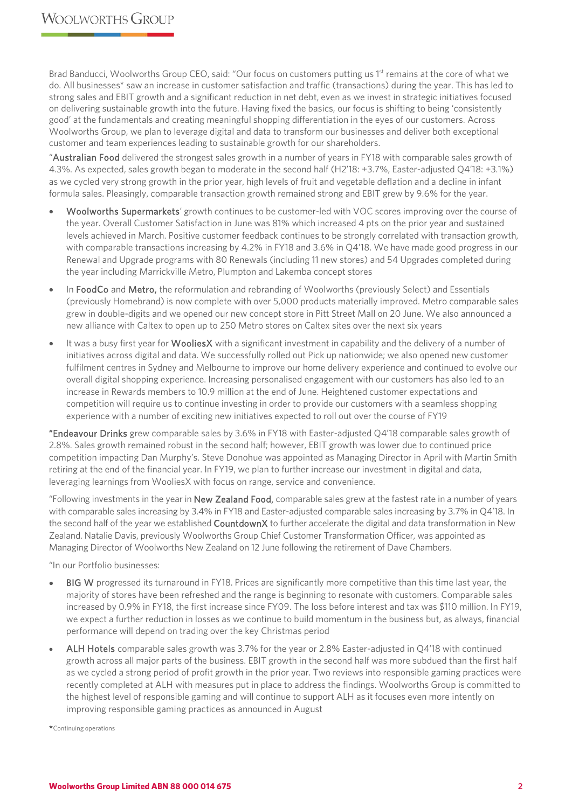Brad Banducci, Woolworths Group CEO, said: "Our focus on customers putting us 1<sup>st</sup> remains at the core of what we do. All businesses\* saw an increase in customer satisfaction and traffic (transactions) during the year. This has led to strong sales and EBIT growth and a significant reduction in net debt, even as we invest in strategic initiatives focused on delivering sustainable growth into the future. Having fixed the basics, our focus is shifting to being 'consistently good' at the fundamentals and creating meaningful shopping differentiation in the eyes of our customers. Across Woolworths Group, we plan to leverage digital and data to transform our businesses and deliver both exceptional customer and team experiences leading to sustainable growth for our shareholders.

"Australian Food delivered the strongest sales growth in a number of years in FY18 with comparable sales growth of 4.3%. As expected, sales growth began to moderate in the second half (H2'18: +3.7%, Easter-adjusted Q4'18: +3.1%) as we cycled very strong growth in the prior year, high levels of fruit and vegetable deflation and a decline in infant formula sales. Pleasingly, comparable transaction growth remained strong and EBIT grew by 9.6% for the year.

- Woolworths Supermarkets' growth continues to be customer-led with VOC scores improving over the course of the year. Overall Customer Satisfaction in June was 81% which increased 4 pts on the prior year and sustained levels achieved in March. Positive customer feedback continues to be strongly correlated with transaction growth, with comparable transactions increasing by 4.2% in FY18 and 3.6% in Q4'18. We have made good progress in our Renewal and Upgrade programs with 80 Renewals (including 11 new stores) and 54 Upgrades completed during the year including Marrickville Metro, Plumpton and Lakemba concept stores
- In FoodCo and Metro, the reformulation and rebranding of Woolworths (previously Select) and Essentials (previously Homebrand) is now complete with over 5,000 products materially improved. Metro comparable sales grew in double-digits and we opened our new concept store in Pitt Street Mall on 20 June. We also announced a new alliance with Caltex to open up to 250 Metro stores on Caltex sites over the next six years
- It was a busy first year for WooliesX with a significant investment in capability and the delivery of a number of initiatives across digital and data. We successfully rolled out Pick up nationwide; we also opened new customer fulfilment centres in Sydney and Melbourne to improve our home delivery experience and continued to evolve our overall digital shopping experience. Increasing personalised engagement with our customers has also led to an increase in Rewards members to 10.9 million at the end of June. Heightened customer expectations and competition will require us to continue investing in order to provide our customers with a seamless shopping experience with a number of exciting new initiatives expected to roll out over the course of FY19

"Endeavour Drinks grew comparable sales by 3.6% in FY18 with Easter-adjusted Q4'18 comparable sales growth of 2.8%. Sales growth remained robust in the second half; however, EBIT growth was lower due to continued price competition impacting Dan Murphy's. Steve Donohue was appointed as Managing Director in April with Martin Smith retiring at the end of the financial year. In FY19, we plan to further increase our investment in digital and data, leveraging learnings from WooliesX with focus on range, service and convenience.

"Following investments in the year in New Zealand Food, comparable sales grew at the fastest rate in a number of years with comparable sales increasing by 3.4% in FY18 and Easter-adjusted comparable sales increasing by 3.7% in Q4'18. In the second half of the year we established CountdownX to further accelerate the digital and data transformation in New Zealand. Natalie Davis, previously Woolworths Group Chief Customer Transformation Officer, was appointed as Managing Director of Woolworths New Zealand on 12 June following the retirement of Dave Chambers.

"In our Portfolio businesses:

- BIG W progressed its turnaround in FY18. Prices are significantly more competitive than this time last year, the majority of stores have been refreshed and the range is beginning to resonate with customers. Comparable sales increased by 0.9% in FY18, the first increase since FY09. The loss before interest and tax was \$110 million. In FY19, we expect a further reduction in losses as we continue to build momentum in the business but, as always, financial performance will depend on trading over the key Christmas period
- ALH Hotels comparable sales growth was 3.7% for the year or 2.8% Easter-adjusted in Q4'18 with continued growth across all major parts of the business. EBIT growth in the second half was more subdued than the first half as we cycled a strong period of profit growth in the prior year. Two reviews into responsible gaming practices were recently completed at ALH with measures put in place to address the findings. Woolworths Group is committed to the highest level of responsible gaming and will continue to support ALH as it focuses even more intently on improving responsible gaming practices as announced in August

\*Continuing operations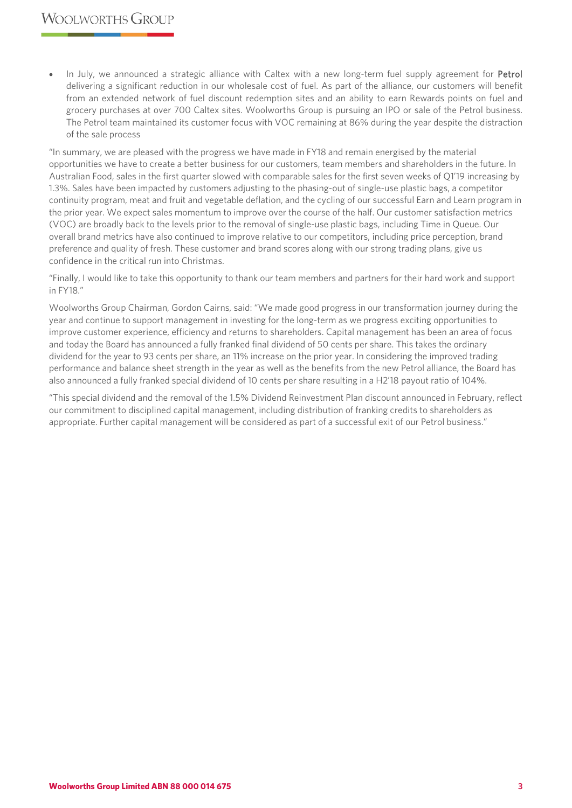In July, we announced a strategic alliance with Caltex with a new long-term fuel supply agreement for Petrol delivering a significant reduction in our wholesale cost of fuel. As part of the alliance, our customers will benefit from an extended network of fuel discount redemption sites and an ability to earn Rewards points on fuel and grocery purchases at over 700 Caltex sites. Woolworths Group is pursuing an IPO or sale of the Petrol business. The Petrol team maintained its customer focus with VOC remaining at 86% during the year despite the distraction of the sale process

"In summary, we are pleased with the progress we have made in FY18 and remain energised by the material opportunities we have to create a better business for our customers, team members and shareholders in the future. In Australian Food, sales in the first quarter slowed with comparable sales for the first seven weeks of Q1'19 increasing by 1.3%. Sales have been impacted by customers adjusting to the phasing-out of single-use plastic bags, a competitor continuity program, meat and fruit and vegetable deflation, and the cycling of our successful Earn and Learn program in the prior year. We expect sales momentum to improve over the course of the half. Our customer satisfaction metrics (VOC) are broadly back to the levels prior to the removal of single-use plastic bags, including Time in Queue. Our overall brand metrics have also continued to improve relative to our competitors, including price perception, brand preference and quality of fresh. These customer and brand scores along with our strong trading plans, give us confidence in the critical run into Christmas.

"Finally, I would like to take this opportunity to thank our team members and partners for their hard work and support in FY18."

Woolworths Group Chairman, Gordon Cairns, said: "We made good progress in our transformation journey during the year and continue to support management in investing for the long-term as we progress exciting opportunities to improve customer experience, efficiency and returns to shareholders. Capital management has been an area of focus and today the Board has announced a fully franked final dividend of 50 cents per share. This takes the ordinary dividend for the year to 93 cents per share, an 11% increase on the prior year. In considering the improved trading performance and balance sheet strength in the year as well as the benefits from the new Petrol alliance, the Board has also announced a fully franked special dividend of 10 cents per share resulting in a H2'18 payout ratio of 104%.

"This special dividend and the removal of the 1.5% Dividend Reinvestment Plan discount announced in February, reflect our commitment to disciplined capital management, including distribution of franking credits to shareholders as appropriate. Further capital management will be considered as part of a successful exit of our Petrol business."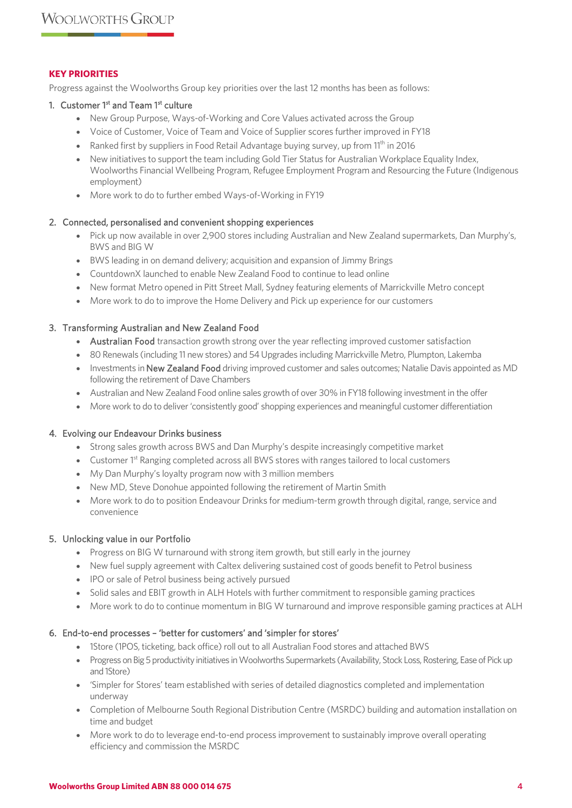## **KEY PRIORITIES**

Progress against the Woolworths Group key priorities over the last 12 months has been as follows:

## 1. Customer 1<sup>st</sup> and Team 1<sup>st</sup> culture

- New Group Purpose, Ways-of-Working and Core Values activated across the Group
- Voice of Customer, Voice of Team and Voice of Supplier scores further improved in FY18
- Ranked first by suppliers in Food Retail Advantage buying survey, up from 11<sup>th</sup> in 2016
- New initiatives to support the team including Gold Tier Status for Australian Workplace Equality Index, Woolworths Financial Wellbeing Program, Refugee Employment Program and Resourcing the Future (Indigenous employment)
- More work to do to further embed Ways-of-Working in FY19

## 2. Connected, personalised and convenient shopping experiences

- Pick up now available in over 2,900 stores including Australian and New Zealand supermarkets, Dan Murphy's, BWS and BIG W
- BWS leading in on demand delivery; acquisition and expansion of Jimmy Brings
- CountdownX launched to enable New Zealand Food to continue to lead online
- New format Metro opened in Pitt Street Mall, Sydney featuring elements of Marrickville Metro concept
- More work to do to improve the Home Delivery and Pick up experience for our customers

## 3. Transforming Australian and New Zealand Food

- Australian Food transaction growth strong over the year reflecting improved customer satisfaction
- 80 Renewals (including 11 new stores) and 54 Upgrades including Marrickville Metro, Plumpton, Lakemba
- Investments in New Zealand Food driving improved customer and sales outcomes; Natalie Davis appointed as MD following the retirement of Dave Chambers
- Australian and New Zealand Food online sales growth of over 30% in FY18 following investment in the offer
- More work to do to deliver 'consistently good' shopping experiences and meaningful customer differentiation

#### 4. Evolving our Endeavour Drinks business

- Strong sales growth across BWS and Dan Murphy's despite increasingly competitive market
- Customer 1<sup>st</sup> Ranging completed across all BWS stores with ranges tailored to local customers
- My Dan Murphy's loyalty program now with 3 million members
- New MD, Steve Donohue appointed following the retirement of Martin Smith
- More work to do to position Endeavour Drinks for medium-term growth through digital, range, service and convenience

## 5. Unlocking value in our Portfolio

- Progress on BIG W turnaround with strong item growth, but still early in the journey
- New fuel supply agreement with Caltex delivering sustained cost of goods benefit to Petrol business
- IPO or sale of Petrol business being actively pursued
- Solid sales and EBIT growth in ALH Hotels with further commitment to responsible gaming practices
- More work to do to continue momentum in BIG W turnaround and improve responsible gaming practices at ALH

## 6. End-to-end processes – 'better for customers' and 'simpler for stores'

- 1Store (1POS, ticketing, back office) roll out to all Australian Food stores and attached BWS
- Progress on Big 5 productivity initiatives in Woolworths Supermarkets (Availability, Stock Loss, Rostering, Ease of Pick up and 1Store)
- 'Simpler for Stores' team established with series of detailed diagnostics completed and implementation underway
- Completion of Melbourne South Regional Distribution Centre (MSRDC) building and automation installation on time and budget
- More work to do to leverage end-to-end process improvement to sustainably improve overall operating efficiency and commission the MSRDC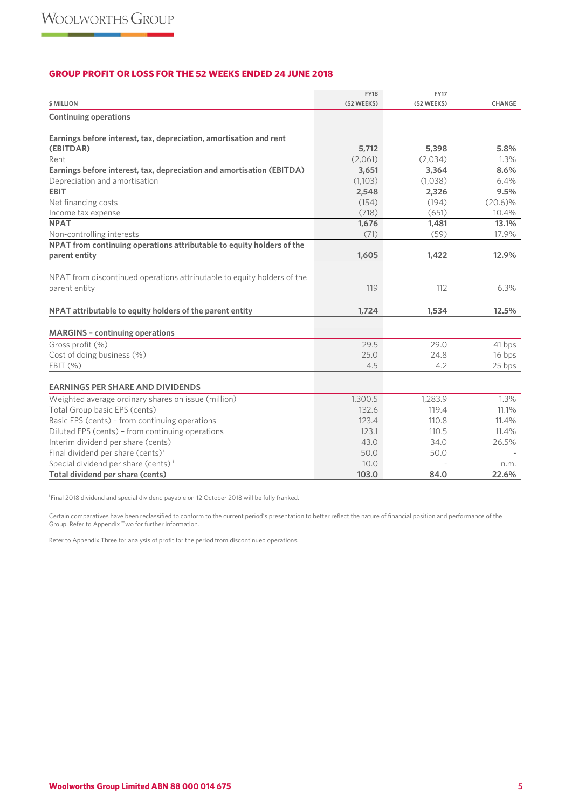## **GROUP PROFIT OR LOSS FOR THE 52 WEEKS ENDED 24 JUNE 2018**

| <b>\$ MILLION</b>                                                               | <b>FY18</b><br>(52 WEEKS) | <b>FY17</b><br>(52 WEEKS) | <b>CHANGE</b> |
|---------------------------------------------------------------------------------|---------------------------|---------------------------|---------------|
| <b>Continuing operations</b>                                                    |                           |                           |               |
|                                                                                 |                           |                           |               |
| Earnings before interest, tax, depreciation, amortisation and rent<br>(EBITDAR) | 5,712                     | 5,398                     | 5.8%          |
| Rent                                                                            | (2,061)                   | (2,034)                   | 1.3%          |
| Earnings before interest, tax, depreciation and amortisation (EBITDA)           | 3,651                     | 3,364                     | 8.6%          |
| Depreciation and amortisation                                                   | (1,103)                   | (1,038)                   | 6.4%          |
| <b>EBIT</b>                                                                     | 2,548                     | 2,326                     | 9.5%          |
| Net financing costs                                                             | (154)                     | (194)                     | $(20.6)\%$    |
| Income tax expense                                                              | (718)                     | (651)                     | 10.4%         |
| <b>NPAT</b>                                                                     | 1,676                     | 1,481                     | 13.1%         |
| Non-controlling interests                                                       | (71)                      | (59)                      | 17.9%         |
| NPAT from continuing operations attributable to equity holders of the           |                           |                           |               |
| parent entity                                                                   | 1,605                     | 1,422                     | 12.9%         |
|                                                                                 |                           |                           |               |
| NPAT from discontinued operations attributable to equity holders of the         |                           |                           |               |
| parent entity                                                                   | 119                       | 112                       | 6.3%          |
|                                                                                 |                           |                           |               |
| NPAT attributable to equity holders of the parent entity                        | 1,724                     | 1,534                     | 12.5%         |
| <b>MARGINS - continuing operations</b>                                          |                           |                           |               |
| Gross profit (%)                                                                | 29.5                      | 29.0                      | 41 bps        |
| Cost of doing business (%)                                                      | 25.0                      | 24.8                      | 16 bps        |
| EBIT (%)                                                                        | 4.5                       | 4.2                       | 25 bps        |
|                                                                                 |                           |                           |               |
| <b>EARNINGS PER SHARE AND DIVIDENDS</b>                                         |                           |                           |               |
| Weighted average ordinary shares on issue (million)                             | 1,300.5                   | 1,283.9                   | 1.3%          |
| Total Group basic EPS (cents)                                                   | 132.6                     | 119.4                     | 11.1%         |
| Basic EPS (cents) - from continuing operations                                  | 123.4                     | 110.8                     | 11.4%         |
| Diluted EPS (cents) - from continuing operations                                | 123.1                     | 110.5                     | 11.4%         |
| Interim dividend per share (cents)                                              | 43.0                      | 34.0                      | 26.5%         |
| Final dividend per share (cents) <sup>i</sup>                                   | 50.0                      | 50.0                      |               |
| Special dividend per share (cents) <sup>i</sup>                                 | 10.0                      |                           | n.m.          |
| Total dividend per share (cents)                                                | 103.0                     | 84.0                      | 22.6%         |

i Final 2018 dividend and special dividend payable on 12 October 2018 will be fully franked.

Certain comparatives have been reclassified to conform to the current period's presentation to better reflect the nature of financial position and performance of the Group. Refer to Appendix Two for further information.

Refer to Appendix Three for analysis of profit for the period from discontinued operations.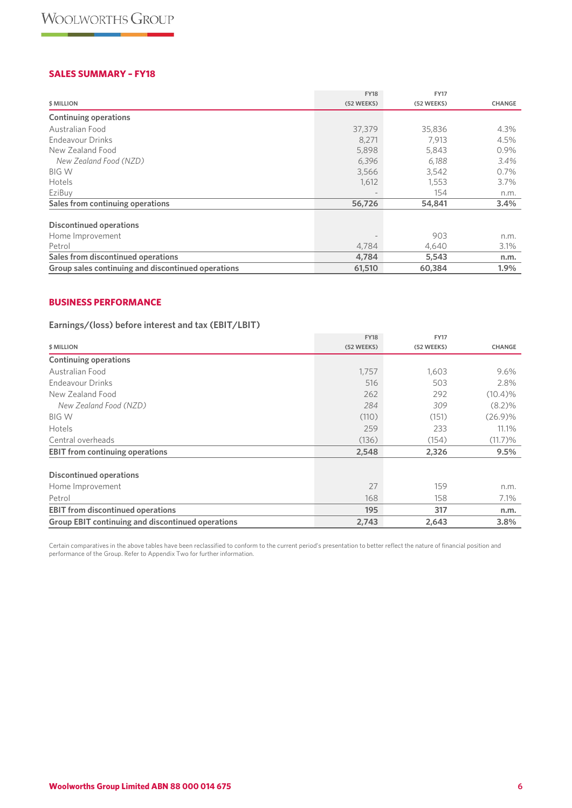## **SALES SUMMARY – FY18**

|                                                    | <b>FY18</b> | <b>FY17</b> |               |
|----------------------------------------------------|-------------|-------------|---------------|
| \$ MILLION                                         | (52 WEEKS)  | (52 WEEKS)  | <b>CHANGE</b> |
| <b>Continuing operations</b>                       |             |             |               |
| Australian Food                                    | 37,379      | 35,836      | 4.3%          |
| Endeavour Drinks                                   | 8,271       | 7.913       | 4.5%          |
| New Zealand Food                                   | 5,898       | 5,843       | $0.9\%$       |
| New Zealand Food (NZD)                             | 6,396       | 6,188       | 3.4%          |
| <b>BIG W</b>                                       | 3,566       | 3,542       | 0.7%          |
| Hotels                                             | 1,612       | 1,553       | $3.7\%$       |
| EziBuy                                             |             | 154         | n.m.          |
| Sales from continuing operations                   | 56,726      | 54,841      | 3.4%          |
| <b>Discontinued operations</b>                     |             |             |               |
| Home Improvement                                   |             | 903         | n.m.          |
| Petrol                                             | 4,784       | 4,640       | 3.1%          |
| Sales from discontinued operations                 | 4,784       | 5,543       | n.m.          |
| Group sales continuing and discontinued operations | 61,510      | 60,384      | 1.9%          |

## **BUSINESS PERFORMANCE**

## **Earnings/(loss) before interest and tax (EBIT/LBIT)**

|                                                          | <b>FY18</b> | <b>FY17</b> |               |
|----------------------------------------------------------|-------------|-------------|---------------|
| \$ MILLION                                               | (52 WEEKS)  | (52 WEEKS)  | <b>CHANGE</b> |
| <b>Continuing operations</b>                             |             |             |               |
| Australian Food                                          | 1,757       | 1,603       | 9.6%          |
| <b>Endeavour Drinks</b>                                  | 516         | 503         | 2.8%          |
| New Zealand Food                                         | 262         | 292         | $(10.4)\%$    |
| New Zealand Food (NZD)                                   | 284         | 309         | $(8.2)\%$     |
| <b>BIG W</b>                                             | (110)       | (151)       | (26.9)%       |
| Hotels                                                   | 259         | 233         | 11.1%         |
| Central overheads                                        | (136)       | (154)       | $(11.7)$ %    |
| <b>EBIT</b> from continuing operations                   | 2,548       | 2,326       | 9.5%          |
| <b>Discontinued operations</b>                           |             |             |               |
| Home Improvement                                         | 27          | 159         | n.m.          |
| Petrol                                                   | 168         | 158         | 7.1%          |
| <b>EBIT from discontinued operations</b>                 | 195         | 317         | n.m.          |
| <b>Group EBIT continuing and discontinued operations</b> | 2,743       | 2,643       | 3.8%          |

Certain comparatives in the above tables have been reclassified to conform to the current period's presentation to better reflect the nature of financial position and performance of the Group. Refer to Appendix Two for further information.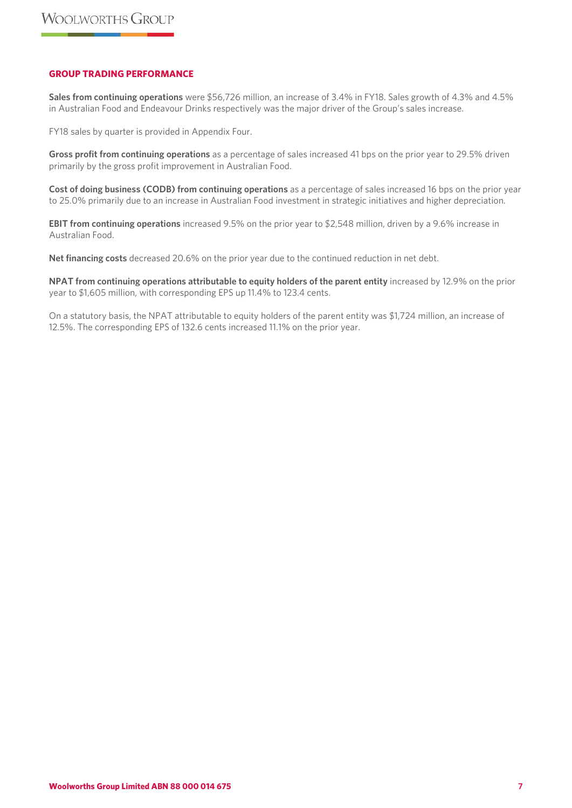## **GROUP TRADING PERFORMANCE**

**Sales from continuing operations** were \$56,726 million, an increase of 3.4% in FY18. Sales growth of 4.3% and 4.5% in Australian Food and Endeavour Drinks respectively was the major driver of the Group's sales increase.

FY18 sales by quarter is provided in Appendix Four.

**Gross profit from continuing operations** as a percentage of sales increased 41 bps on the prior year to 29.5% driven primarily by the gross profit improvement in Australian Food.

**Cost of doing business (CODB) from continuing operations** as a percentage of sales increased 16 bps on the prior year to 25.0% primarily due to an increase in Australian Food investment in strategic initiatives and higher depreciation.

**EBIT from continuing operations** increased 9.5% on the prior year to \$2,548 million, driven by a 9.6% increase in Australian Food.

**Net financing costs** decreased 20.6% on the prior year due to the continued reduction in net debt.

**NPAT from continuing operations attributable to equity holders of the parent entity** increased by 12.9% on the prior year to \$1,605 million, with corresponding EPS up 11.4% to 123.4 cents.

On a statutory basis, the NPAT attributable to equity holders of the parent entity was \$1,724 million, an increase of 12.5%. The corresponding EPS of 132.6 cents increased 11.1% on the prior year.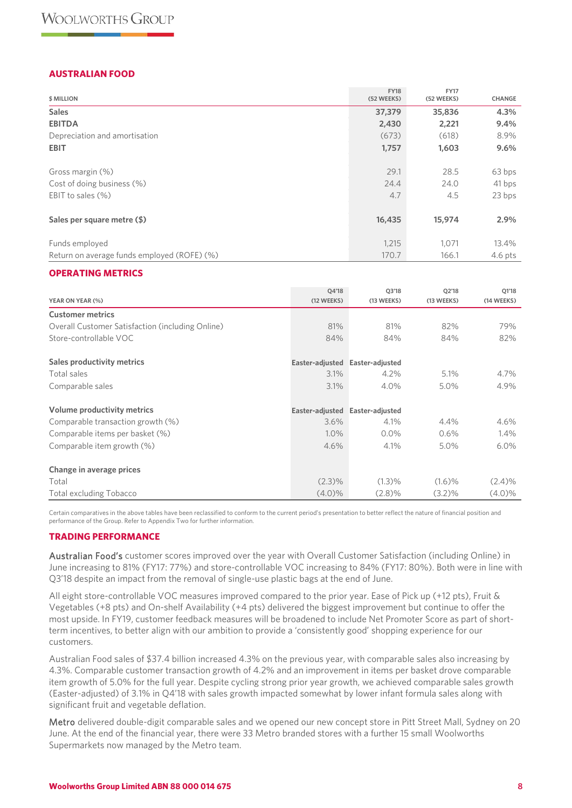## **AUSTRALIAN FOOD**

| <b>\$ MILLION</b>                           | <b>FY18</b><br>(52 WEEKS) | <b>FY17</b><br>(52 WEEKS) | CHANGE    |
|---------------------------------------------|---------------------------|---------------------------|-----------|
| <b>Sales</b>                                | 37,379                    | 35,836                    | 4.3%      |
| <b>EBITDA</b>                               | 2,430                     | 2,221                     | 9.4%      |
| Depreciation and amortisation               | (673)                     | (618)                     | 8.9%      |
| <b>EBIT</b>                                 | 1,757                     | 1,603                     | 9.6%      |
| Gross margin (%)                            | 29.1                      | 28.5                      | 63 bps    |
| Cost of doing business (%)                  | 24.4                      | 24.0                      | 41 bps    |
| EBIT to sales (%)                           | 4.7                       | 4.5                       | 23 bps    |
| Sales per square metre (\$)                 | 16,435                    | 15,974                    | 2.9%      |
| Funds employed                              | 1,215                     | 1,071                     | 13.4%     |
| Return on average funds employed (ROFE) (%) | 170.7                     | 166.1                     | $4.6$ pts |

## **OPERATING METRICS**

| YEAR ON YEAR (%)                                 | 04'18<br>(12 WEEKS) | 03'18<br>(13 WEEKS) | 02'18<br>(13 WEEKS) | 01'18<br>(14 WEEKS) |
|--------------------------------------------------|---------------------|---------------------|---------------------|---------------------|
| <b>Customer metrics</b>                          |                     |                     |                     |                     |
| Overall Customer Satisfaction (including Online) | 81%                 | 81%                 | 82%                 | 79%                 |
| Store-controllable VOC                           | 84%                 | 84%                 | 84%                 | 82%                 |
| Sales productivity metrics                       | Easter-adjusted     | Easter-adjusted     |                     |                     |
| Total sales                                      | 3.1%                | 4.2%                | 5.1%                | 4.7%                |
| Comparable sales                                 | 3.1%                | 4.0%                | 5.0%                | 4.9%                |
| Volume productivity metrics                      | Easter-adjusted     | Easter-adjusted     |                     |                     |
| Comparable transaction growth (%)                | 3.6%                | 4.1%                | 4.4%                | 4.6%                |
| Comparable items per basket (%)                  | 1.0%                | $0.0\%$             | 0.6%                | $1.4\%$             |
| Comparable item growth (%)                       | 4.6%                | 4.1%                | 5.0%                | $6.0\%$             |
| Change in average prices                         |                     |                     |                     |                     |
| Total                                            | $(2.3)\%$           | $(1.3)\%$           | $(1.6)\%$           | (2.4)%              |
| <b>Total excluding Tobacco</b>                   | $(4.0)\%$           | $(2.8)\%$           | (3.2)%              | $(4.0)\%$           |

Certain comparatives in the above tables have been reclassified to conform to the current period's presentation to better reflect the nature of financial position and performance of the Group. Refer to Appendix Two for further information.

## **TRADING PERFORMANCE**

Australian Food's customer scores improved over the year with Overall Customer Satisfaction (including Online) in June increasing to 81% (FY17: 77%) and store-controllable VOC increasing to 84% (FY17: 80%). Both were in line with Q3'18 despite an impact from the removal of single-use plastic bags at the end of June.

All eight store-controllable VOC measures improved compared to the prior year. Ease of Pick up (+12 pts), Fruit & Vegetables (+8 pts) and On-shelf Availability (+4 pts) delivered the biggest improvement but continue to offer the most upside. In FY19, customer feedback measures will be broadened to include Net Promoter Score as part of shortterm incentives, to better align with our ambition to provide a 'consistently good' shopping experience for our customers.

Australian Food sales of \$37.4 billion increased 4.3% on the previous year, with comparable sales also increasing by 4.3%. Comparable customer transaction growth of 4.2% and an improvement in items per basket drove comparable item growth of 5.0% for the full year. Despite cycling strong prior year growth, we achieved comparable sales growth (Easter-adjusted) of 3.1% in Q4'18 with sales growth impacted somewhat by lower infant formula sales along with significant fruit and vegetable deflation.

Metro delivered double-digit comparable sales and we opened our new concept store in Pitt Street Mall, Sydney on 20 June. At the end of the financial year, there were 33 Metro branded stores with a further 15 small Woolworths Supermarkets now managed by the Metro team.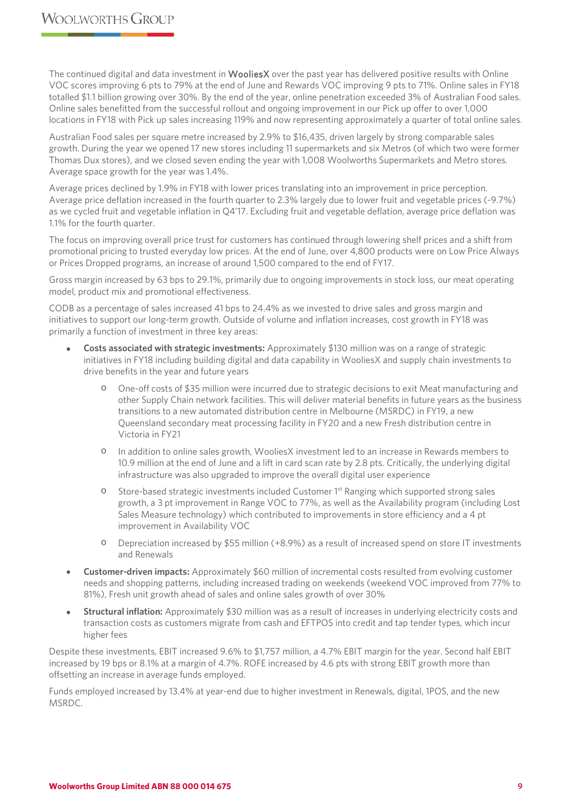The continued digital and data investment in WooliesX over the past year has delivered positive results with Online VOC scores improving 6 pts to 79% at the end of June and Rewards VOC improving 9 pts to 71%. Online sales in FY18 totalled \$1.1 billion growing over 30%. By the end of the year, online penetration exceeded 3% of Australian Food sales. Online sales benefitted from the successful rollout and ongoing improvement in our Pick up offer to over 1,000 locations in FY18 with Pick up sales increasing 119% and now representing approximately a quarter of total online sales.

Australian Food sales per square metre increased by 2.9% to \$16,435, driven largely by strong comparable sales growth. During the year we opened 17 new stores including 11 supermarkets and six Metros (of which two were former Thomas Dux stores), and we closed seven ending the year with 1,008 Woolworths Supermarkets and Metro stores. Average space growth for the year was 1.4%.

Average prices declined by 1.9% in FY18 with lower prices translating into an improvement in price perception. Average price deflation increased in the fourth quarter to 2.3% largely due to lower fruit and vegetable prices (-9.7%) as we cycled fruit and vegetable inflation in Q4'17. Excluding fruit and vegetable deflation, average price deflation was 1.1% for the fourth quarter.

The focus on improving overall price trust for customers has continued through lowering shelf prices and a shift from promotional pricing to trusted everyday low prices. At the end of June, over 4,800 products were on Low Price Always or Prices Dropped programs, an increase of around 1,500 compared to the end of FY17.

Gross margin increased by 63 bps to 29.1%, primarily due to ongoing improvements in stock loss, our meat operating model, product mix and promotional effectiveness.

CODB as a percentage of sales increased 41 bps to 24.4% as we invested to drive sales and gross margin and initiatives to support our long-term growth. Outside of volume and inflation increases, cost growth in FY18 was primarily a function of investment in three key areas:

- **Costs associated with strategic investments:** Approximately \$130 million was on a range of strategic initiatives in FY18 including building digital and data capability in WooliesX and supply chain investments to drive benefits in the year and future years
	- o One-off costs of \$35 million were incurred due to strategic decisions to exit Meat manufacturing and other Supply Chain network facilities. This will deliver material benefits in future years as the business transitions to a new automated distribution centre in Melbourne (MSRDC) in FY19, a new Queensland secondary meat processing facility in FY20 and a new Fresh distribution centre in Victoria in FY21
	- o In addition to online sales growth, WooliesX investment led to an increase in Rewards members to 10.9 million at the end of June and a lift in card scan rate by 2.8 pts. Critically, the underlying digital infrastructure was also upgraded to improve the overall digital user experience
	- $\circ$  Store-based strategic investments included Customer 1<sup>st</sup> Ranging which supported strong sales growth, a 3 pt improvement in Range VOC to 77%, as well as the Availability program (including Lost Sales Measure technology) which contributed to improvements in store efficiency and a 4 pt improvement in Availability VOC
	- o Depreciation increased by \$55 million (+8.9%) as a result of increased spend on store IT investments and Renewals
- **Customer-driven impacts:** Approximately \$60 million of incremental costs resulted from evolving customer needs and shopping patterns, including increased trading on weekends (weekend VOC improved from 77% to 81%), Fresh unit growth ahead of sales and online sales growth of over 30%
- **Structural inflation:** Approximately \$30 million was as a result of increases in underlying electricity costs and transaction costs as customers migrate from cash and EFTPOS into credit and tap tender types, which incur higher fees

Despite these investments, EBIT increased 9.6% to \$1,757 million, a 4.7% EBIT margin for the year. Second half EBIT increased by 19 bps or 8.1% at a margin of 4.7%. ROFE increased by 4.6 pts with strong EBIT growth more than offsetting an increase in average funds employed.

Funds employed increased by 13.4% at year-end due to higher investment in Renewals, digital, 1POS, and the new MSRDC.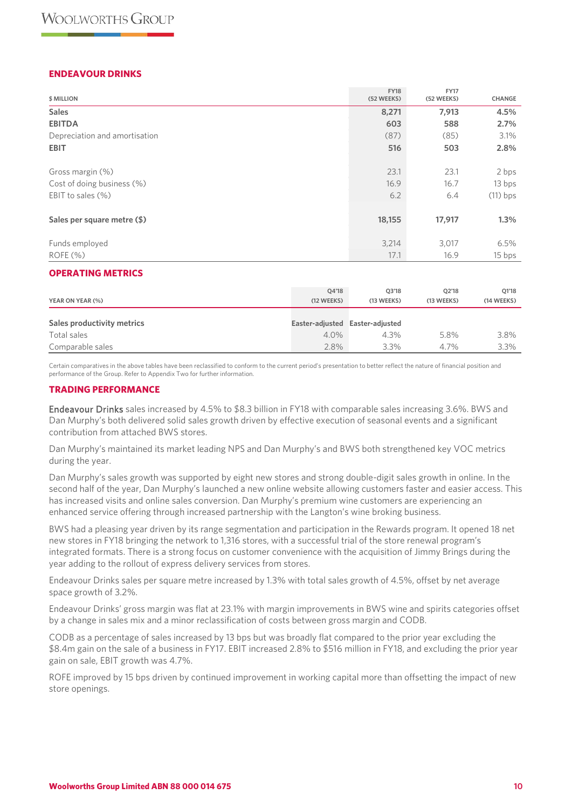## **ENDEAVOUR DRINKS**

| \$ MILLION                    | <b>FY18</b><br>(52 WEEKS) | <b>FY17</b><br>(52 WEEKS) | CHANGE     |
|-------------------------------|---------------------------|---------------------------|------------|
| <b>Sales</b>                  | 8,271                     | 7,913                     | 4.5%       |
| <b>EBITDA</b>                 | 603                       | 588                       | 2.7%       |
| Depreciation and amortisation | (87)                      | (85)                      | 3.1%       |
| <b>EBIT</b>                   | 516                       | 503                       | 2.8%       |
| Gross margin (%)              | 23.1                      | 23.1                      | 2 bps      |
| Cost of doing business (%)    | 16.9                      | 16.7                      | 13 bps     |
| EBIT to sales (%)             | 6.2                       | 6.4                       | $(11)$ bps |
| Sales per square metre (\$)   | 18,155                    | 17,917                    | 1.3%       |
| Funds employed                | 3,214                     | 3,017                     | 6.5%       |
| ROFE(%)                       | 17.1                      | 16.9                      | 15 bps     |

## **OPERATING METRICS**

| YEAR ON YEAR (%)           | 04'18<br>(12 WEEKS) | 03'18<br>(13 WEEKS)             | 02'18<br>(13 WEEKS) | 01'18<br>(14 WEEKS) |
|----------------------------|---------------------|---------------------------------|---------------------|---------------------|
| Sales productivity metrics |                     | Easter-adjusted Easter-adjusted |                     |                     |
| Total sales                | $4.0\%$             | 4.3%                            | 5.8%                | 3.8%                |
| Comparable sales           | 2.8%                | 3.3%                            | 4.7%                | 3.3%                |

Certain comparatives in the above tables have been reclassified to conform to the current period's presentation to better reflect the nature of financial position and performance of the Group. Refer to Appendix Two for further information.

## **TRADING PERFORMANCE**

Endeavour Drinks sales increased by 4.5% to \$8.3 billion in FY18 with comparable sales increasing 3.6%. BWS and Dan Murphy's both delivered solid sales growth driven by effective execution of seasonal events and a significant contribution from attached BWS stores.

Dan Murphy's maintained its market leading NPS and Dan Murphy's and BWS both strengthened key VOC metrics during the year.

Dan Murphy's sales growth was supported by eight new stores and strong double-digit sales growth in online. In the second half of the year, Dan Murphy's launched a new online website allowing customers faster and easier access. This has increased visits and online sales conversion. Dan Murphy's premium wine customers are experiencing an enhanced service offering through increased partnership with the Langton's wine broking business.

BWS had a pleasing year driven by its range segmentation and participation in the Rewards program. It opened 18 net new stores in FY18 bringing the network to 1,316 stores, with a successful trial of the store renewal program's integrated formats. There is a strong focus on customer convenience with the acquisition of Jimmy Brings during the year adding to the rollout of express delivery services from stores.

Endeavour Drinks sales per square metre increased by 1.3% with total sales growth of 4.5%, offset by net average space growth of 3.2%.

Endeavour Drinks' gross margin was flat at 23.1% with margin improvements in BWS wine and spirits categories offset by a change in sales mix and a minor reclassification of costs between gross margin and CODB.

CODB as a percentage of sales increased by 13 bps but was broadly flat compared to the prior year excluding the \$8.4m gain on the sale of a business in FY17. EBIT increased 2.8% to \$516 million in FY18, and excluding the prior year gain on sale, EBIT growth was 4.7%.

ROFE improved by 15 bps driven by continued improvement in working capital more than offsetting the impact of new store openings.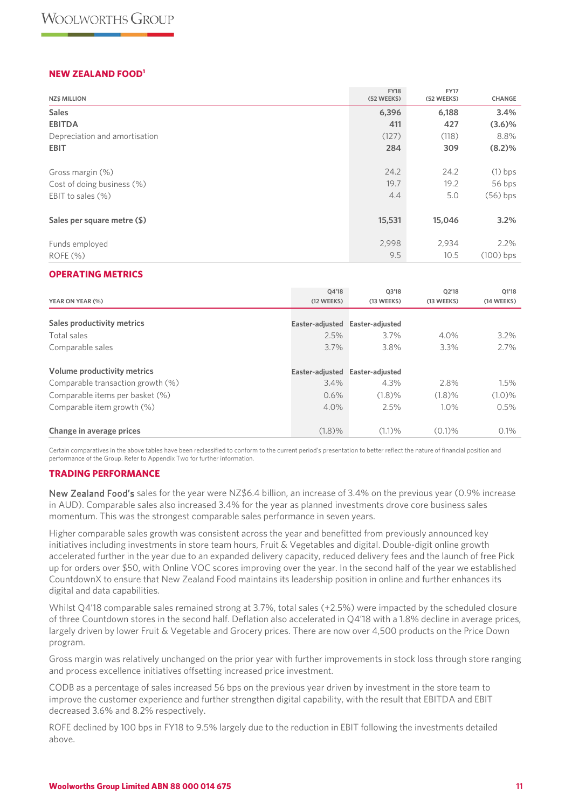## **NEW ZEALAND FOOD1**

| <b>NZ\$ MILLION</b>           | <b>FY18</b><br>(52 WEEKS) | <b>FY17</b><br>(52 WEEKS) | CHANGE      |
|-------------------------------|---------------------------|---------------------------|-------------|
| <b>Sales</b>                  | 6,396                     | 6,188                     | 3.4%        |
| <b>EBITDA</b>                 | 411                       | 427                       | (3.6)%      |
| Depreciation and amortisation | (127)                     | (118)                     | 8.8%        |
| <b>EBIT</b>                   | 284                       | 309                       | (8.2)%      |
| Gross margin (%)              | 24.2                      | 24.2                      | $(1)$ bps   |
| Cost of doing business (%)    | 19.7                      | 19.2                      | 56 bps      |
| EBIT to sales $(\%)$          | 4.4                       | 5.0                       | $(56)$ bps  |
| Sales per square metre (\$)   | 15,531                    | 15,046                    | 3.2%        |
| Funds employed                | 2,998                     | 2,934                     | 2.2%        |
| ROFE(%)                       | 9.5                       | 10.5                      | $(100)$ bps |

#### **OPERATING METRICS**

| YEAR ON YEAR (%)                  | O4'18<br>(12 WEEKS)             | 03'18<br>(13 WEEKS) | 02'18<br>(13 WEEKS) | Q1'18<br>(14 WEEKS) |
|-----------------------------------|---------------------------------|---------------------|---------------------|---------------------|
| Sales productivity metrics        | Easter-adjusted                 | Easter-adjusted     |                     |                     |
| Total sales                       | 2.5%                            | $3.7\%$             | $4.0\%$             | 3.2%                |
| Comparable sales                  | 3.7%                            | 3.8%                | 3.3%                | 2.7%                |
| Volume productivity metrics       | Easter-adjusted Easter-adjusted |                     |                     |                     |
| Comparable transaction growth (%) | $3.4\%$                         | 4.3%                | 2.8%                | 1.5%                |
| Comparable items per basket (%)   | 0.6%                            | (1.8)%              | (1.8)%              | $(1.0)\%$           |
| Comparable item growth (%)        | $4.0\%$                         | 2.5%                | $1.0\%$             | 0.5%                |
| Change in average prices          | (1.8)%                          | (1.1)%              | $(0.1)$ %           | 0.1%                |

Certain comparatives in the above tables have been reclassified to conform to the current period's presentation to better reflect the nature of financial position and performance of the Group. Refer to Appendix Two for further information.

#### **TRADING PERFORMANCE**

New Zealand Food's sales for the year were NZ\$6.4 billion, an increase of 3.4% on the previous year (0.9% increase in AUD). Comparable sales also increased 3.4% for the year as planned investments drove core business sales momentum. This was the strongest comparable sales performance in seven years.

Higher comparable sales growth was consistent across the year and benefitted from previously announced key initiatives including investments in store team hours, Fruit & Vegetables and digital. Double-digit online growth accelerated further in the year due to an expanded delivery capacity, reduced delivery fees and the launch of free Pick up for orders over \$50, with Online VOC scores improving over the year. In the second half of the year we established CountdownX to ensure that New Zealand Food maintains its leadership position in online and further enhances its digital and data capabilities.

Whilst Q4'18 comparable sales remained strong at 3.7%, total sales (+2.5%) were impacted by the scheduled closure of three Countdown stores in the second half. Deflation also accelerated in Q4'18 with a 1.8% decline in average prices, largely driven by lower Fruit & Vegetable and Grocery prices. There are now over 4,500 products on the Price Down program.

Gross margin was relatively unchanged on the prior year with further improvements in stock loss through store ranging and process excellence initiatives offsetting increased price investment.

CODB as a percentage of sales increased 56 bps on the previous year driven by investment in the store team to improve the customer experience and further strengthen digital capability, with the result that EBITDA and EBIT decreased 3.6% and 8.2% respectively.

ROFE declined by 100 bps in FY18 to 9.5% largely due to the reduction in EBIT following the investments detailed above.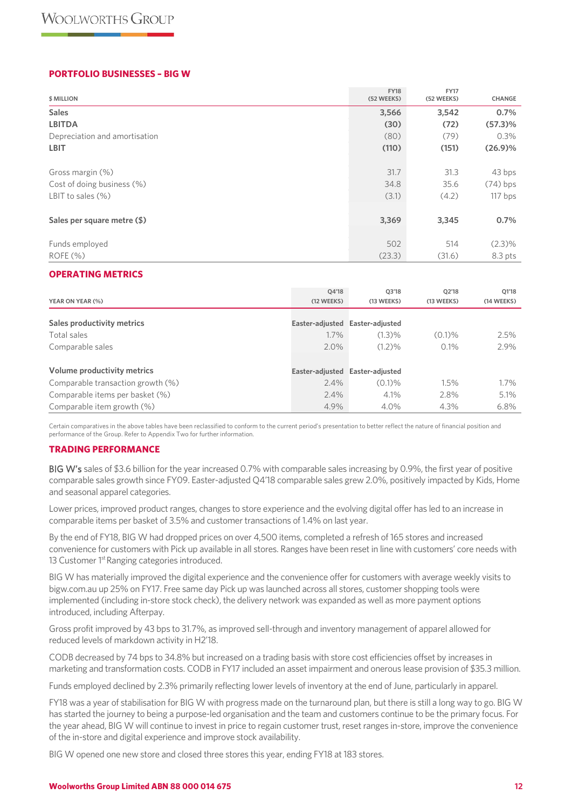## **PORTFOLIO BUSINESSES – BIG W**

| \$ MILLION                    | <b>FY18</b><br>(52 WEEKS) | <b>FY17</b><br>(52 WEEKS) | CHANGE     |
|-------------------------------|---------------------------|---------------------------|------------|
| <b>Sales</b>                  | 3,566                     | 3,542                     | 0.7%       |
| <b>LBITDA</b>                 | (30)                      | (72)                      | $(57.3)\%$ |
| Depreciation and amortisation | (80)                      | (79)                      | 0.3%       |
| <b>LBIT</b>                   | (110)                     | (151)                     | $(26.9)\%$ |
| Gross margin (%)              | 31.7                      | 31.3                      | 43 bps     |
| Cost of doing business (%)    | 34.8                      | 35.6                      | $(74)$ bps |
| LBIT to sales $(\%)$          | (3.1)                     | (4.2)                     | 117 bps    |
| Sales per square metre (\$)   | 3,369                     | 3,345                     | 0.7%       |
| Funds employed                | 502                       | 514                       | $(2.3)\%$  |
| ROFE(%)                       | (23.3)                    | (31.6)                    | $8.3$ pts  |

#### **OPERATING METRICS**

| YEAR ON YEAR (%)                  | 04'18<br>(12 WEEKS) | Q3'18<br>(13 WEEKS) | Q2'18<br>(13 WEEKS) | Q1'18<br>(14 WEEKS) |
|-----------------------------------|---------------------|---------------------|---------------------|---------------------|
| Sales productivity metrics        | Easter-adjusted     | Easter-adiusted     |                     |                     |
| Total sales                       | $1.7\%$             | $(1.3)$ %           | $(0.1)$ %           | 2.5%                |
| Comparable sales                  | $2.0\%$             | $(1.2)\%$           | 0.1%                | 2.9%                |
| Volume productivity metrics       | Easter-adjusted     | Easter-adjusted     |                     |                     |
| Comparable transaction growth (%) | 2.4%                | $(0.1)$ %           | 1.5%                | $1.7\%$             |
| Comparable items per basket (%)   | $2.4\%$             | $4.1\%$             | 2.8%                | 5.1%                |
| Comparable item growth (%)        | 4.9%                | 4.0%                | 4.3%                | $6.8\%$             |

Certain comparatives in the above tables have been reclassified to conform to the current period's presentation to better reflect the nature of financial position and performance of the Group. Refer to Appendix Two for further information.

#### **TRADING PERFORMANCE**

BIG W's sales of \$3.6 billion for the year increased 0.7% with comparable sales increasing by 0.9%, the first year of positive comparable sales growth since FY09. Easter-adjusted Q4'18 comparable sales grew 2.0%, positively impacted by Kids, Home and seasonal apparel categories.

Lower prices, improved product ranges, changes to store experience and the evolving digital offer has led to an increase in comparable items per basket of 3.5% and customer transactions of 1.4% on last year.

By the end of FY18, BIG W had dropped prices on over 4,500 items, completed a refresh of 165 stores and increased convenience for customers with Pick up available in all stores. Ranges have been reset in line with customers' core needs with 13 Customer 1<sup>st</sup> Ranging categories introduced.

BIG W has materially improved the digital experience and the convenience offer for customers with average weekly visits to bigw.com.au up 25% on FY17. Free same day Pick up was launched across all stores, customer shopping tools were implemented (including in-store stock check), the delivery network was expanded as well as more payment options introduced, including Afterpay.

Gross profit improved by 43 bps to 31.7%, as improved sell-through and inventory management of apparel allowed for reduced levels of markdown activity in H2'18.

CODB decreased by 74 bps to 34.8% but increased on a trading basis with store cost efficiencies offset by increases in marketing and transformation costs. CODB in FY17 included an asset impairment and onerous lease provision of \$35.3 million.

Funds employed declined by 2.3% primarily reflecting lower levels of inventory at the end of June, particularly in apparel.

FY18 was a year of stabilisation for BIG W with progress made on the turnaround plan, but there is still a long way to go. BIG W has started the journey to being a purpose-led organisation and the team and customers continue to be the primary focus. For the year ahead, BIG W will continue to invest in price to regain customer trust, reset ranges in-store, improve the convenience of the in-store and digital experience and improve stock availability.

BIG W opened one new store and closed three stores this year, ending FY18 at 183 stores.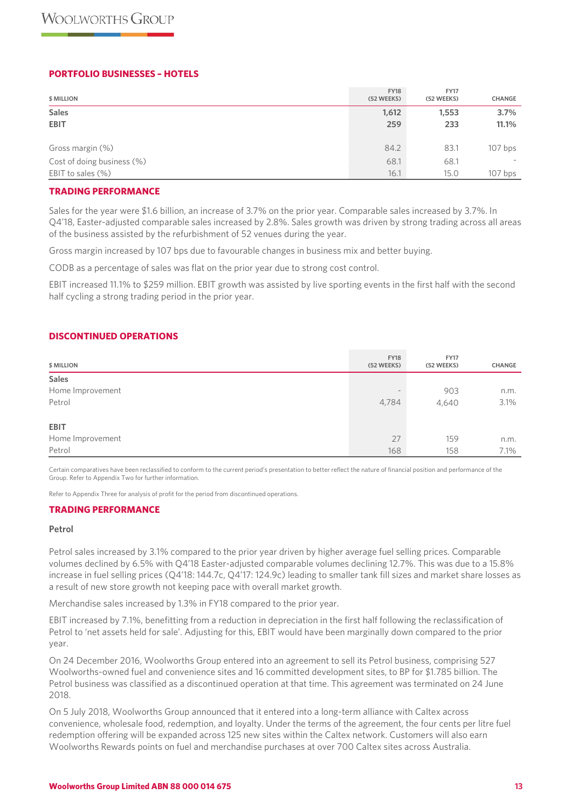## **PORTFOLIO BUSINESSES – HOTELS**

| \$ MILLION                 | <b>FY18</b><br>(52 WEEKS) | <b>FY17</b><br>(52 WEEKS) | <b>CHANGE</b> |
|----------------------------|---------------------------|---------------------------|---------------|
| <b>Sales</b>               | 1,612                     | 1,553                     | 3.7%          |
| <b>EBIT</b>                | 259                       | 233                       | 11.1%         |
|                            |                           |                           |               |
| Gross margin (%)           | 84.2                      | 83.1                      | $107$ bps     |
| Cost of doing business (%) | 68.1                      | 68.1                      |               |
| EBIT to sales (%)          | 16.1                      | 15.0                      | $107$ bps     |

#### **TRADING PERFORMANCE**

Sales for the year were \$1.6 billion, an increase of 3.7% on the prior year. Comparable sales increased by 3.7%. In Q4'18, Easter-adjusted comparable sales increased by 2.8%. Sales growth was driven by strong trading across all areas of the business assisted by the refurbishment of 52 venues during the year.

Gross margin increased by 107 bps due to favourable changes in business mix and better buying.

CODB as a percentage of sales was flat on the prior year due to strong cost control.

EBIT increased 11.1% to \$259 million. EBIT growth was assisted by live sporting events in the first half with the second half cycling a strong trading period in the prior year.

## **DISCONTINUED OPERATIONS**

| \$ MILLION       | <b>FY18</b><br>(52 WEEKS) | <b>FY17</b><br>(52 WEEKS) | CHANGE |
|------------------|---------------------------|---------------------------|--------|
| <b>Sales</b>     |                           |                           |        |
| Home Improvement | $\sim$                    | 903                       | n.m.   |
| Petrol           | 4,784                     | 4,640                     | 3.1%   |
|                  |                           |                           |        |
| <b>EBIT</b>      |                           |                           |        |
| Home Improvement | 27                        | 159                       | n.m.   |
| Petrol           | 168                       | 158                       | 7.1%   |

Certain comparatives have been reclassified to conform to the current period's presentation to better reflect the nature of financial position and performance of the Group. Refer to Appendix Two for further information.

Refer to Appendix Three for analysis of profit for the period from discontinued operations.

## **TRADING PERFORMANCE**

#### **Petrol**

Petrol sales increased by 3.1% compared to the prior year driven by higher average fuel selling prices. Comparable volumes declined by 6.5% with Q4'18 Easter-adjusted comparable volumes declining 12.7%. This was due to a 15.8% increase in fuel selling prices (Q4'18: 144.7c, Q4'17: 124.9c) leading to smaller tank fill sizes and market share losses as a result of new store growth not keeping pace with overall market growth.

Merchandise sales increased by 1.3% in FY18 compared to the prior year.

EBIT increased by 7.1%, benefitting from a reduction in depreciation in the first half following the reclassification of Petrol to 'net assets held for sale'. Adjusting for this, EBIT would have been marginally down compared to the prior year.

On 24 December 2016, Woolworths Group entered into an agreement to sell its Petrol business, comprising 527 Woolworths-owned fuel and convenience sites and 16 committed development sites, to BP for \$1.785 billion. The Petrol business was classified as a discontinued operation at that time. This agreement was terminated on 24 June 2018.

On 5 July 2018, Woolworths Group announced that it entered into a long-term alliance with Caltex across convenience, wholesale food, redemption, and loyalty. Under the terms of the agreement, the four cents per litre fuel redemption offering will be expanded across 125 new sites within the Caltex network. Customers will also earn Woolworths Rewards points on fuel and merchandise purchases at over 700 Caltex sites across Australia.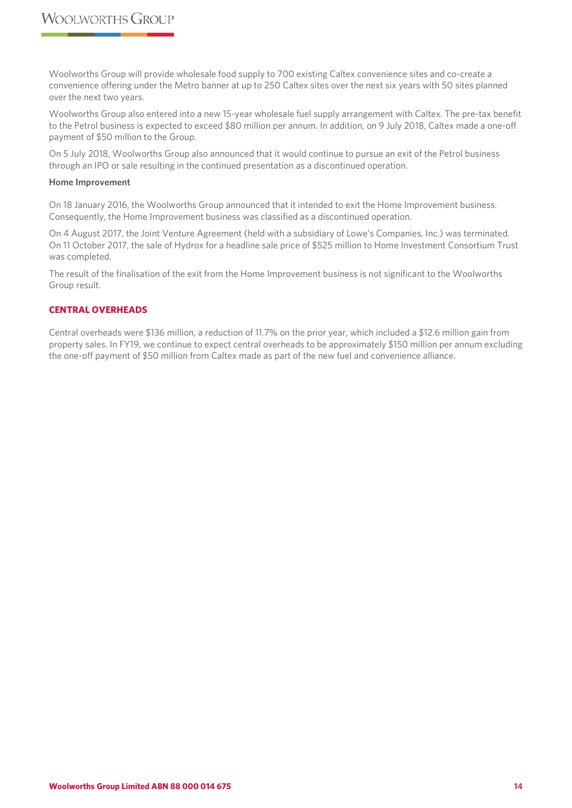Woolworths Group will provide wholesale food supply to 700 existing Caltex convenience sites and co-create a convenience offering under the Metro banner at up to 250 Caltex sites over the next six years with 50 sites planned over the next two years.

Woolworths Group also entered into a new 15-year wholesale fuel supply arrangement with Caltex. The pre-tax benefit to the Petrol business is expected to exceed \$80 million per annum. In addition, on 9 July 2018, Caltex made a one-off payment of \$50 million to the Group.

On 5 July 2018, Woolworths Group also announced that it would continue to pursue an exit of the Petrol business through an IPO or sale resulting in the continued presentation as a discontinued operation.

#### **Home Improvement**

On 18 January 2016, the Woolworths Group announced that it intended to exit the Home Improvement business. Consequently, the Home Improvement business was classified as a discontinued operation.

On 4 August 2017, the Joint Venture Agreement (held with a subsidiary of Lowe's Companies, Inc.) was terminated. On 11 October 2017, the sale of Hydrox for a headline sale price of \$525 million to Home Investment Consortium Trust was completed.

The result of the finalisation of the exit from the Home Improvement business is not significant to the Woolworths Group result.

## **CENTRAL OVERHEADS**

Central overheads were \$136 million, a reduction of 11.7% on the prior year, which included a \$12.6 million gain from property sales. In FY19, we continue to expect central overheads to be approximately \$150 million per annum excluding the one-off payment of \$50 million from Caltex made as part of the new fuel and convenience alliance.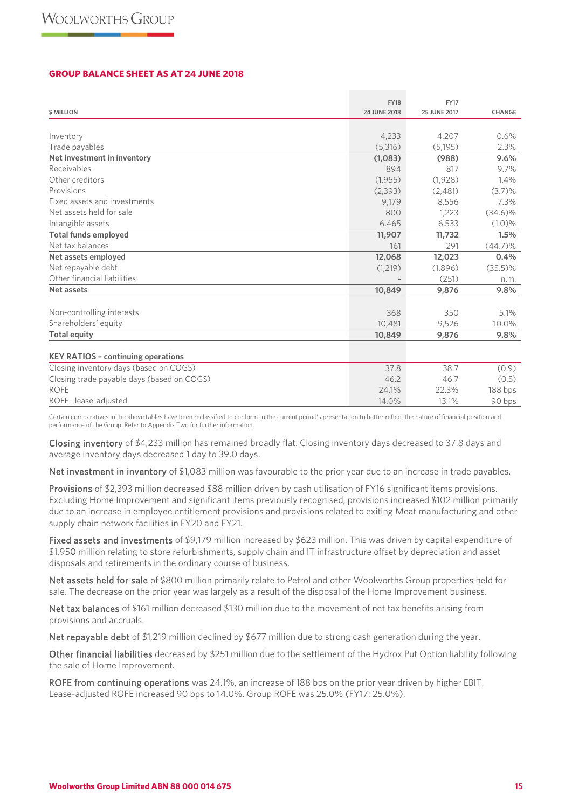#### **GROUP BALANCE SHEET AS AT 24 JUNE 2018**

|                                            | <b>FY18</b>  | <b>FY17</b>         |            |
|--------------------------------------------|--------------|---------------------|------------|
| <b>\$ MILLION</b>                          | 24 JUNE 2018 | <b>25 JUNE 2017</b> | CHANGE     |
|                                            |              |                     |            |
| Inventory                                  | 4,233        | 4,207               | 0.6%       |
| Trade payables                             | (5,316)      | (5, 195)            | 2.3%       |
| Net investment in inventory                | (1,083)      | (988)               | 9.6%       |
| Receivables                                | 894          | 817                 | 9.7%       |
| Other creditors                            | (1,955)      | (1,928)             | 1.4%       |
| Provisions                                 | (2,393)      | (2,481)             | (3.7)%     |
| Fixed assets and investments               | 9,179        | 8,556               | 7.3%       |
| Net assets held for sale                   | 800          | 1,223               | $(34.6)\%$ |
| Intangible assets                          | 6,465        | 6,533               | $(1.0)\%$  |
| <b>Total funds employed</b>                | 11,907       | 11,732              | 1.5%       |
| Net tax balances                           | 161          | 291                 | $(44.7)\%$ |
| Net assets employed                        | 12,068       | 12,023              | 0.4%       |
| Net repayable debt                         | (1,219)      | (1,896)             | $(35.5)\%$ |
| Other financial liabilities                |              | (251)               | n.m.       |
| <b>Net assets</b>                          | 10,849       | 9,876               | 9.8%       |
|                                            |              |                     |            |
| Non-controlling interests                  | 368          | 350                 | 5.1%       |
| Shareholders' equity                       | 10,481       | 9,526               | 10.0%      |
| <b>Total equity</b>                        | 10,849       | 9,876               | 9.8%       |
| <b>KEY RATIOS - continuing operations</b>  |              |                     |            |
| Closing inventory days (based on COGS)     | 37.8         | 38.7                | (0.9)      |
| Closing trade payable days (based on COGS) | 46.2         | 46.7                | (0.5)      |
| <b>ROFE</b>                                | 24.1%        | 22.3%               | 188 bps    |
| ROFE-lease-adjusted                        | 14.0%        | 13.1%               | 90 bps     |

Certain comparatives in the above tables have been reclassified to conform to the current period's presentation to better reflect the nature of financial position and performance of the Group. Refer to Appendix Two for further information.

Closing inventory of \$4,233 million has remained broadly flat. Closing inventory days decreased to 37.8 days and average inventory days decreased 1 day to 39.0 days.

Net investment in inventory of \$1,083 million was favourable to the prior year due to an increase in trade payables.

Provisions of \$2,393 million decreased \$88 million driven by cash utilisation of FY16 significant items provisions. Excluding Home Improvement and significant items previously recognised, provisions increased \$102 million primarily due to an increase in employee entitlement provisions and provisions related to exiting Meat manufacturing and other supply chain network facilities in FY20 and FY21.

Fixed assets and investments of \$9,179 million increased by \$623 million. This was driven by capital expenditure of \$1,950 million relating to store refurbishments, supply chain and IT infrastructure offset by depreciation and asset disposals and retirements in the ordinary course of business.

Net assets held for sale of \$800 million primarily relate to Petrol and other Woolworths Group properties held for sale. The decrease on the prior year was largely as a result of the disposal of the Home Improvement business.

Net tax balances of \$161 million decreased \$130 million due to the movement of net tax benefits arising from provisions and accruals.

Net repayable debt of \$1,219 million declined by \$677 million due to strong cash generation during the year.

Other financial liabilities decreased by \$251 million due to the settlement of the Hydrox Put Option liability following the sale of Home Improvement.

ROFE from continuing operations was 24.1%, an increase of 188 bps on the prior year driven by higher EBIT. Lease-adjusted ROFE increased 90 bps to 14.0%. Group ROFE was 25.0% (FY17: 25.0%).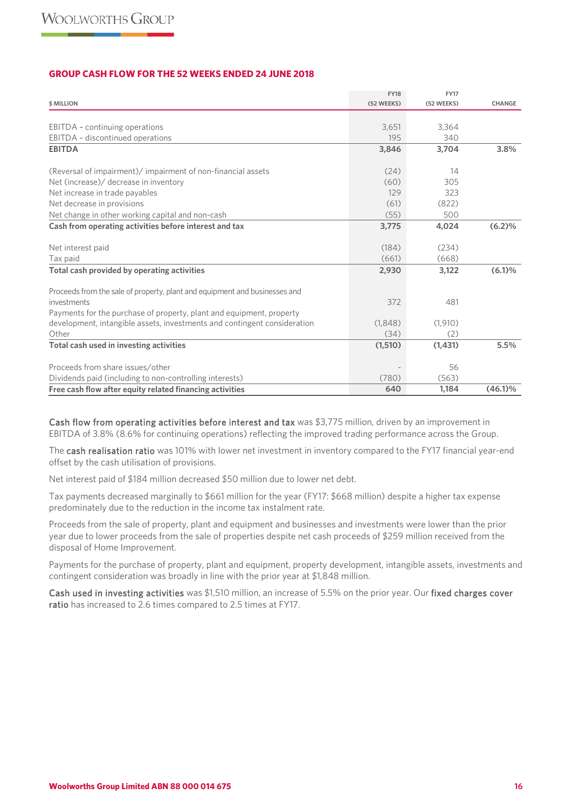## **GROUP CASH FLOW FOR THE 52 WEEKS ENDED 24 JUNE 2018**

|                                                                            | <b>FY18</b> | <b>FY17</b> |               |
|----------------------------------------------------------------------------|-------------|-------------|---------------|
| \$ MILLION                                                                 | (52 WEEKS)  | (52 WEEKS)  | <b>CHANGE</b> |
|                                                                            |             |             |               |
| EBITDA - continuing operations                                             | 3,651       | 3,364       |               |
| EBITDA - discontinued operations                                           | 195         | 340         |               |
| <b>EBITDA</b>                                                              | 3,846       | 3,704       | 3.8%          |
| (Reversal of impairment)/ impairment of non-financial assets               | (24)        | 14          |               |
| Net (increase)/ decrease in inventory                                      | (60)        | 305         |               |
| Net increase in trade payables                                             | 129         | 323         |               |
| Net decrease in provisions                                                 | (61)        | (822)       |               |
| Net change in other working capital and non-cash                           | (55)        | 500         |               |
| Cash from operating activities before interest and tax                     | 3,775       | 4,024       | (6.2)%        |
|                                                                            |             |             |               |
| Net interest paid                                                          | (184)       | (234)       |               |
| Tax paid                                                                   | (661)       | (668)       |               |
| Total cash provided by operating activities                                | 2,930       | 3,122       | (6.1)%        |
| Proceeds from the sale of property, plant and equipment and businesses and |             |             |               |
| investments                                                                | 372         | 481         |               |
| Payments for the purchase of property, plant and equipment, property       |             |             |               |
| development, intangible assets, investments and contingent consideration   | (1,848)     | (1,910)     |               |
| Other                                                                      | (34)        | (2)         |               |
| Total cash used in investing activities                                    | (1,510)     | (1,431)     | 5.5%          |
| Proceeds from share issues/other                                           |             | 56          |               |
| Dividends paid (including to non-controlling interests)                    | (780)       | (563)       |               |
| Free cash flow after equity related financing activities                   | 640         | 1,184       | $(46.1)\%$    |

Cash flow from operating activities before interest and tax was \$3,775 million, driven by an improvement in EBITDA of 3.8% (8.6% for continuing operations) reflecting the improved trading performance across the Group.

The cash realisation ratio was 101% with lower net investment in inventory compared to the FY17 financial year-end offset by the cash utilisation of provisions.

Net interest paid of \$184 million decreased \$50 million due to lower net debt.

Tax payments decreased marginally to \$661 million for the year (FY17: \$668 million) despite a higher tax expense predominately due to the reduction in the income tax instalment rate.

Proceeds from the sale of property, plant and equipment and businesses and investments were lower than the prior year due to lower proceeds from the sale of properties despite net cash proceeds of \$259 million received from the disposal of Home Improvement.

Payments for the purchase of property, plant and equipment, property development, intangible assets, investments and contingent consideration was broadly in line with the prior year at \$1,848 million.

Cash used in investing activities was \$1,510 million, an increase of 5.5% on the prior year. Our fixed charges cover ratio has increased to 2.6 times compared to 2.5 times at FY17.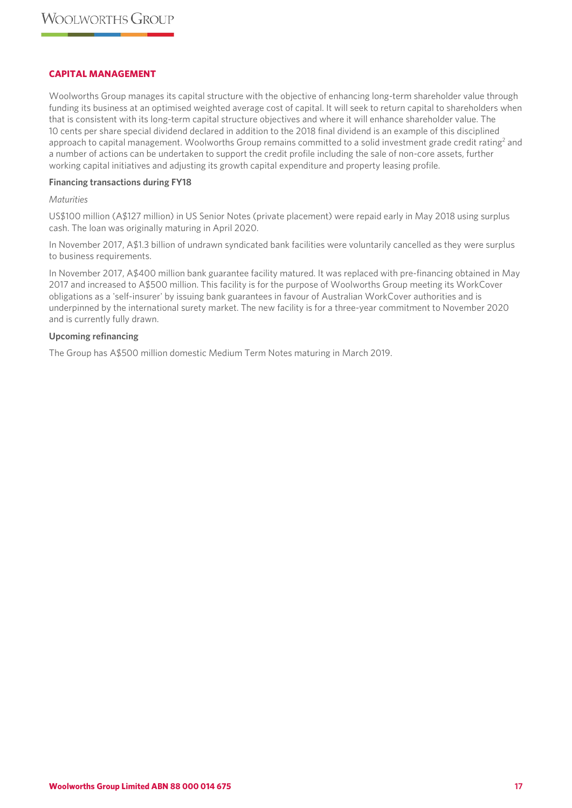## **CAPITAL MANAGEMENT**

Woolworths Group manages its capital structure with the objective of enhancing long-term shareholder value through funding its business at an optimised weighted average cost of capital. It will seek to return capital to shareholders when that is consistent with its long-term capital structure objectives and where it will enhance shareholder value. The 10 cents per share special dividend declared in addition to the 2018 final dividend is an example of this disciplined approach to capital management. Woolworths Group remains committed to a solid investment grade credit rating<sup>2</sup> and a number of actions can be undertaken to support the credit profile including the sale of non-core assets, further working capital initiatives and adjusting its growth capital expenditure and property leasing profile.

#### **Financing transactions during FY18**

#### *Maturities*

US\$100 million (A\$127 million) in US Senior Notes (private placement) were repaid early in May 2018 using surplus cash. The loan was originally maturing in April 2020.

In November 2017, A\$1.3 billion of undrawn syndicated bank facilities were voluntarily cancelled as they were surplus to business requirements.

In November 2017, A\$400 million bank guarantee facility matured. It was replaced with pre-financing obtained in May 2017 and increased to A\$500 million. This facility is for the purpose of Woolworths Group meeting its WorkCover obligations as a 'self-insurer' by issuing bank guarantees in favour of Australian WorkCover authorities and is underpinned by the international surety market. The new facility is for a three-year commitment to November 2020 and is currently fully drawn.

#### **Upcoming refinancing**

The Group has A\$500 million domestic Medium Term Notes maturing in March 2019.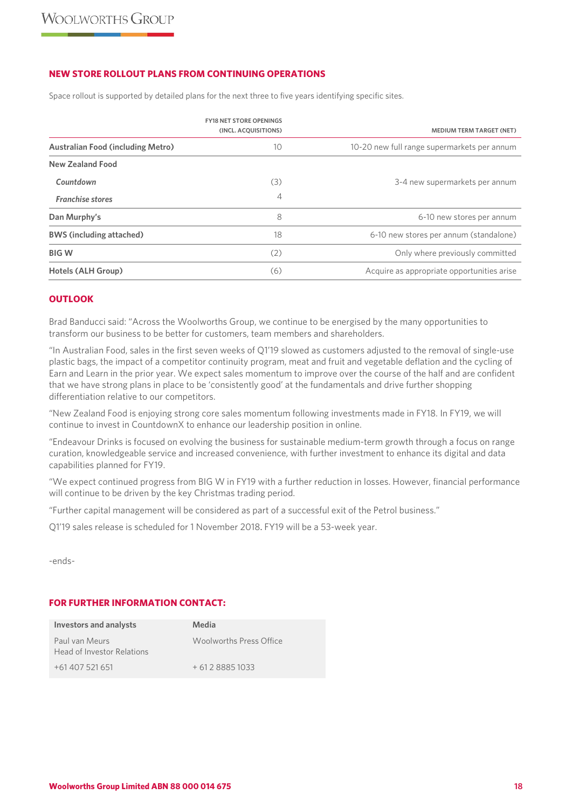## **NEW STORE ROLLOUT PLANS FROM CONTINUING OPERATIONS**

Space rollout is supported by detailed plans for the next three to five years identifying specific sites.

|                                          | <b>FY18 NET STORE OPENINGS</b><br>(INCL. ACQUISITIONS) | <b>MEDIUM TERM TARGET (NET)</b>             |
|------------------------------------------|--------------------------------------------------------|---------------------------------------------|
| <b>Australian Food (including Metro)</b> | 10                                                     | 10-20 new full range supermarkets per annum |
| <b>New Zealand Food</b>                  |                                                        |                                             |
| Countdown                                | (3)                                                    | 3-4 new supermarkets per annum              |
| <b>Franchise stores</b>                  | 4                                                      |                                             |
| Dan Murphy's                             | 8                                                      | 6-10 new stores per annum                   |
| <b>BWS (including attached)</b>          | 18                                                     | 6-10 new stores per annum (standalone)      |
| <b>BIGW</b>                              | (2)                                                    | Only where previously committed             |
| Hotels (ALH Group)                       | (6)                                                    | Acquire as appropriate opportunities arise  |

## **OUTLOOK**

Brad Banducci said: "Across the Woolworths Group, we continue to be energised by the many opportunities to transform our business to be better for customers, team members and shareholders.

"In Australian Food, sales in the first seven weeks of Q1'19 slowed as customers adjusted to the removal of single-use plastic bags, the impact of a competitor continuity program, meat and fruit and vegetable deflation and the cycling of Earn and Learn in the prior year. We expect sales momentum to improve over the course of the half and are confident that we have strong plans in place to be 'consistently good' at the fundamentals and drive further shopping differentiation relative to our competitors.

"New Zealand Food is enjoying strong core sales momentum following investments made in FY18. In FY19, we will continue to invest in CountdownX to enhance our leadership position in online.

"Endeavour Drinks is focused on evolving the business for sustainable medium-term growth through a focus on range curation, knowledgeable service and increased convenience, with further investment to enhance its digital and data capabilities planned for FY19.

"We expect continued progress from BIG W in FY19 with a further reduction in losses. However, financial performance will continue to be driven by the key Christmas trading period.

"Further capital management will be considered as part of a successful exit of the Petrol business."

Q1'19 sales release is scheduled for 1 November 2018. FY19 will be a 53-week year.

-ends-

## **FOR FURTHER INFORMATION CONTACT:**

| Investors and analysts                       | Media                   |
|----------------------------------------------|-------------------------|
| Paul van Meurs<br>Head of Investor Relations | Woolworths Press Office |
| +61 407 521 651                              | $+61288851033$          |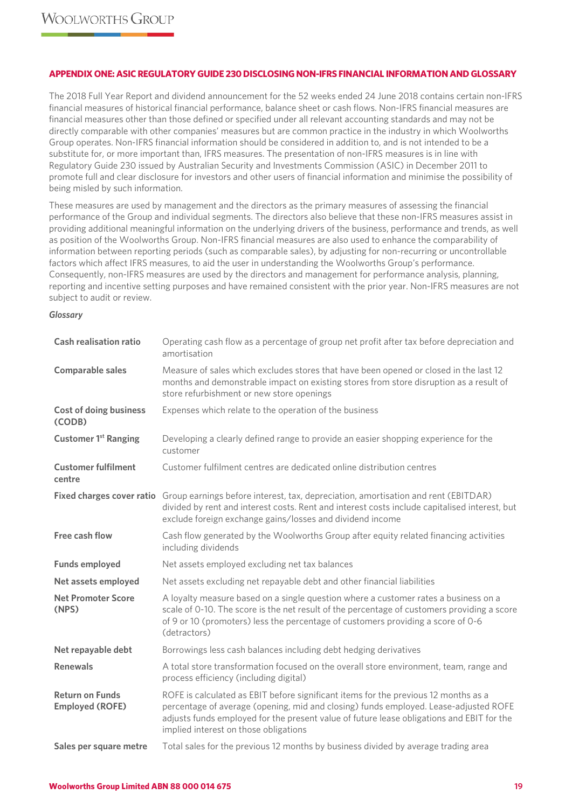## **APPENDIX ONE: ASIC REGULATORY GUIDE 230 DISCLOSING NON-IFRS FINANCIAL INFORMATION AND GLOSSARY**

The 2018 Full Year Report and dividend announcement for the 52 weeks ended 24 June 2018 contains certain non-IFRS financial measures of historical financial performance, balance sheet or cash flows. Non-IFRS financial measures are financial measures other than those defined or specified under all relevant accounting standards and may not be directly comparable with other companies' measures but are common practice in the industry in which Woolworths Group operates. Non-IFRS financial information should be considered in addition to, and is not intended to be a substitute for, or more important than, IFRS measures. The presentation of non-IFRS measures is in line with Regulatory Guide 230 issued by Australian Security and Investments Commission (ASIC) in December 2011 to promote full and clear disclosure for investors and other users of financial information and minimise the possibility of being misled by such information.

These measures are used by management and the directors as the primary measures of assessing the financial performance of the Group and individual segments. The directors also believe that these non-IFRS measures assist in providing additional meaningful information on the underlying drivers of the business, performance and trends, as well as position of the Woolworths Group. Non-IFRS financial measures are also used to enhance the comparability of information between reporting periods (such as comparable sales), by adjusting for non-recurring or uncontrollable factors which affect IFRS measures, to aid the user in understanding the Woolworths Group's performance. Consequently, non-IFRS measures are used by the directors and management for performance analysis, planning, reporting and incentive setting purposes and have remained consistent with the prior year. Non-IFRS measures are not subject to audit or review.

#### *Glossary*

| <b>Cash realisation ratio</b>                    | Operating cash flow as a percentage of group net profit after tax before depreciation and<br>amortisation                                                                                                                                                                                                         |
|--------------------------------------------------|-------------------------------------------------------------------------------------------------------------------------------------------------------------------------------------------------------------------------------------------------------------------------------------------------------------------|
| <b>Comparable sales</b>                          | Measure of sales which excludes stores that have been opened or closed in the last 12<br>months and demonstrable impact on existing stores from store disruption as a result of<br>store refurbishment or new store openings                                                                                      |
| <b>Cost of doing business</b><br>(CODB)          | Expenses which relate to the operation of the business                                                                                                                                                                                                                                                            |
| <b>Customer 1st Ranging</b>                      | Developing a clearly defined range to provide an easier shopping experience for the<br>customer                                                                                                                                                                                                                   |
| <b>Customer fulfilment</b><br>centre             | Customer fulfilment centres are dedicated online distribution centres                                                                                                                                                                                                                                             |
|                                                  | Fixed charges cover ratio Group earnings before interest, tax, depreciation, amortisation and rent (EBITDAR)<br>divided by rent and interest costs. Rent and interest costs include capitalised interest, but<br>exclude foreign exchange gains/losses and dividend income                                        |
| Free cash flow                                   | Cash flow generated by the Woolworths Group after equity related financing activities<br>including dividends                                                                                                                                                                                                      |
| <b>Funds employed</b>                            | Net assets employed excluding net tax balances                                                                                                                                                                                                                                                                    |
| Net assets employed                              | Net assets excluding net repayable debt and other financial liabilities                                                                                                                                                                                                                                           |
| <b>Net Promoter Score</b><br>(NPS)               | A loyalty measure based on a single question where a customer rates a business on a<br>scale of 0-10. The score is the net result of the percentage of customers providing a score<br>of 9 or 10 (promoters) less the percentage of customers providing a score of 0-6<br>(detractors)                            |
| Net repayable debt                               | Borrowings less cash balances including debt hedging derivatives                                                                                                                                                                                                                                                  |
| <b>Renewals</b>                                  | A total store transformation focused on the overall store environment, team, range and<br>process efficiency (including digital)                                                                                                                                                                                  |
| <b>Return on Funds</b><br><b>Employed (ROFE)</b> | ROFE is calculated as EBIT before significant items for the previous 12 months as a<br>percentage of average (opening, mid and closing) funds employed. Lease-adjusted ROFE<br>adjusts funds employed for the present value of future lease obligations and EBIT for the<br>implied interest on those obligations |
| Sales per square metre                           | Total sales for the previous 12 months by business divided by average trading area                                                                                                                                                                                                                                |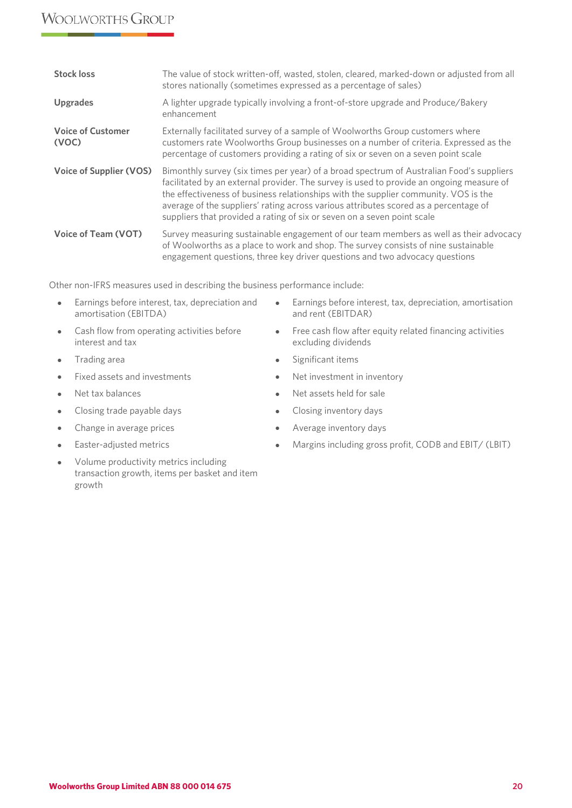# **WOOLWORTHS GROUP**

| <b>Stock loss</b>                 | The value of stock written-off, wasted, stolen, cleared, marked-down or adjusted from all<br>stores nationally (sometimes expressed as a percentage of sales)                                                                                                                                                                                                                                                                                  |
|-----------------------------------|------------------------------------------------------------------------------------------------------------------------------------------------------------------------------------------------------------------------------------------------------------------------------------------------------------------------------------------------------------------------------------------------------------------------------------------------|
| <b>Upgrades</b>                   | A lighter upgrade typically involving a front-of-store upgrade and Produce/Bakery<br>enhancement                                                                                                                                                                                                                                                                                                                                               |
| <b>Voice of Customer</b><br>(VOC) | Externally facilitated survey of a sample of Woolworths Group customers where<br>customers rate Woolworths Group businesses on a number of criteria. Expressed as the<br>percentage of customers providing a rating of six or seven on a seven point scale                                                                                                                                                                                     |
| <b>Voice of Supplier (VOS)</b>    | Bimonthly survey (six times per year) of a broad spectrum of Australian Food's suppliers<br>facilitated by an external provider. The survey is used to provide an ongoing measure of<br>the effectiveness of business relationships with the supplier community. VOS is the<br>average of the suppliers' rating across various attributes scored as a percentage of<br>suppliers that provided a rating of six or seven on a seven point scale |
| <b>Voice of Team (VOT)</b>        | Survey measuring sustainable engagement of our team members as well as their advocacy<br>of Woolworths as a place to work and shop. The survey consists of nine sustainable<br>engagement questions, three key driver questions and two advocacy questions                                                                                                                                                                                     |

Other non-IFRS measures used in describing the business performance include:

- Earnings before interest, tax, depreciation and amortisation (EBITDA)
- Cash flow from operating activities before interest and tax
- 
- Fixed assets and investments Net investment in inventory
- 
- Closing trade payable days **•** Closing inventory days
- Change in average prices Change inventory days
- 
- Volume productivity metrics including transaction growth, items per basket and item growth
- Earnings before interest, tax, depreciation, amortisation and rent (EBITDAR)
- Free cash flow after equity related financing activities excluding dividends
- Trading area **•** Significant items
	-
- Net tax balances Net assets held for sale
	-
	-
- Easter-adjusted metrics Margins including gross profit, CODB and EBIT/ (LBIT)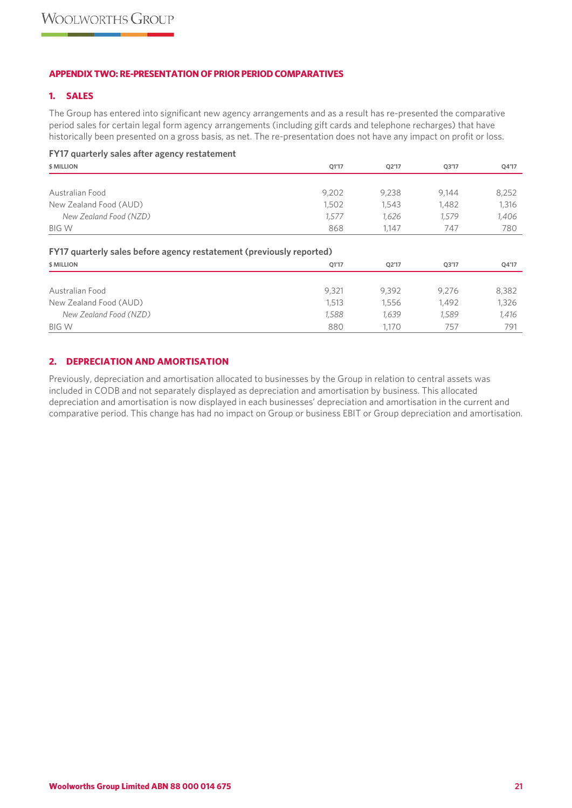## **APPENDIX TWO: RE-PRESENTATION OF PRIOR PERIOD COMPARATIVES**

## **1. SALES**

The Group has entered into significant new agency arrangements and as a result has re-presented the comparative period sales for certain legal form agency arrangements (including gift cards and telephone recharges) that have historically been presented on a gross basis, as net. The re-presentation does not have any impact on profit or loss.

| FY17 quarterly sales after agency restatement                                      |       |       |       |       |
|------------------------------------------------------------------------------------|-------|-------|-------|-------|
| \$ MILLION                                                                         | Q1'17 | Q2'17 | Q3'17 | Q4'17 |
|                                                                                    |       |       |       |       |
| Australian Food                                                                    | 9,202 | 9,238 | 9,144 | 8,252 |
| New Zealand Food (AUD)                                                             | 1,502 | 1,543 | 1,482 | 1,316 |
| New Zealand Food (NZD)                                                             | 1,577 | 1,626 | 1,579 | 1,406 |
| <b>BIG W</b>                                                                       | 868   | 1.147 | 747   | 780   |
| FY17 quarterly sales before agency restatement (previously reported)<br>\$ MILLION | Q1'17 | Q2'17 | Q3'17 | Q4'17 |
|                                                                                    |       |       |       |       |
| Australian Food                                                                    | 9,321 | 9,392 | 9,276 | 8,382 |
| New Zealand Food (AUD)                                                             | 1,513 | 1,556 | 1,492 | 1,326 |
| New Zealand Food (NZD)                                                             | 1,588 | 1,639 | 1,589 | 1,416 |
| <b>BIG W</b>                                                                       | 880   | 1.170 | 757   | 791   |

# **2. DEPRECIATION AND AMORTISATION**

Previously, depreciation and amortisation allocated to businesses by the Group in relation to central assets was included in CODB and not separately displayed as depreciation and amortisation by business. This allocated depreciation and amortisation is now displayed in each businesses' depreciation and amortisation in the current and comparative period. This change has had no impact on Group or business EBIT or Group depreciation and amortisation.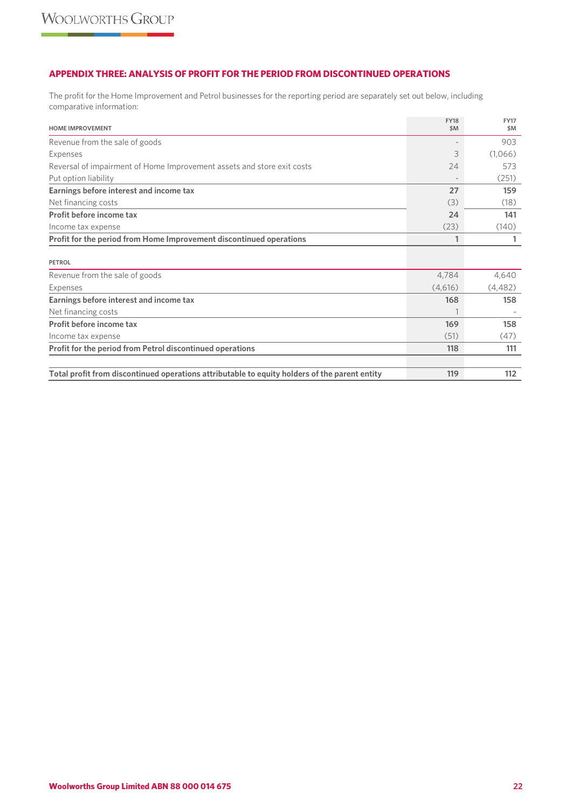## **APPENDIX THREE: ANALYSIS OF PROFIT FOR THE PERIOD FROM DISCONTINUED OPERATIONS**

The profit for the Home Improvement and Petrol businesses for the reporting period are separately set out below, including comparative information:

| <b>HOME IMPROVEMENT</b>                                                                       | <b>FY18</b><br>\$M | <b>FY17</b><br>\$M |
|-----------------------------------------------------------------------------------------------|--------------------|--------------------|
| Revenue from the sale of goods                                                                |                    | 903                |
| Expenses                                                                                      | 3                  | (1,066)            |
| Reversal of impairment of Home Improvement assets and store exit costs                        | 24                 | 573                |
| Put option liability                                                                          |                    | (251)              |
| Earnings before interest and income tax                                                       | 27                 | 159                |
| Net financing costs                                                                           | (3)                | (18)               |
| Profit before income tax                                                                      | 24                 | 141                |
| Income tax expense                                                                            | (23)               | (140)              |
| Profit for the period from Home Improvement discontinued operations                           | 1                  | 1                  |
| <b>PETROL</b>                                                                                 |                    |                    |
| Revenue from the sale of goods                                                                | 4,784              | 4,640              |
| Expenses                                                                                      | (4,616)            | (4,482)            |
| Earnings before interest and income tax                                                       | 168                | 158                |
| Net financing costs                                                                           |                    |                    |
| Profit before income tax                                                                      | 169                | 158                |
| Income tax expense                                                                            | (51)               | (47)               |
| Profit for the period from Petrol discontinued operations                                     | 118                | 111                |
|                                                                                               |                    |                    |
| Total profit from discontinued operations attributable to equity holders of the parent entity | 119                | 112                |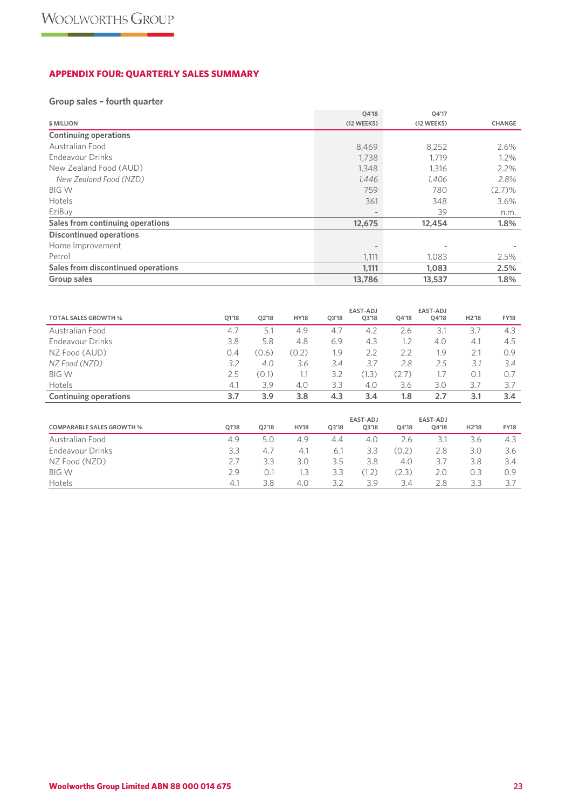# **APPENDIX FOUR: QUARTERLY SALES SUMMARY**

# **Group sales – fourth quarter**

|                                    | Q4'18      | Q4'17      |               |
|------------------------------------|------------|------------|---------------|
| \$ MILLION                         | (12 WEEKS) | (12 WEEKS) | <b>CHANGE</b> |
| <b>Continuing operations</b>       |            |            |               |
| Australian Food                    | 8,469      | 8,252      | 2.6%          |
| Endeavour Drinks                   | 1,738      | 1,719      | 1.2%          |
| New Zealand Food (AUD)             | 1,348      | 1,316      | 2.2%          |
| New Zealand Food (NZD)             | 1,446      | 1,406      | 2.8%          |
| <b>BIG W</b>                       | 759        | 780        | (2.7)%        |
| Hotels                             | 361        | 348        | 3.6%          |
| EziBuy                             |            | 39         | n.m.          |
| Sales from continuing operations   | 12,675     | 12,454     | 1.8%          |
| <b>Discontinued operations</b>     |            |            |               |
| Home Improvement                   |            |            |               |
| Petrol                             | 1,111      | 1,083      | 2.5%          |
| Sales from discontinued operations | 1,111      | 1,083      | 2.5%          |
| Group sales                        | 13,786     | 13,537     | 1.8%          |

|                              |       |       |             |       | <b>EAST-ADJ</b> |       | EAST-ADJ |                    |             |
|------------------------------|-------|-------|-------------|-------|-----------------|-------|----------|--------------------|-------------|
| <b>TOTAL SALES GROWTH %</b>  | 01'18 | 02'18 | <b>HY18</b> | 03'18 | O3'18           | 04'18 | 04'18    | H <sub>2</sub> '18 | <b>FY18</b> |
| Australian Food              | 4.7   | 5.1   | 4.9         | 4.7   | 4.2             | 2.6   | 3.1      | 3.7                | 4.3         |
| Endeavour Drinks             | 3.8   | 5.8   | 4.8         | 6.9   | 4.3             | 1.2   | 4.0      | 4.1                | 4.5         |
| NZ Food (AUD)                | 0.4   | (0.6) | (0.2)       | 1.9   | 2.2             | 2.2   | 1.9      | 2.1                | 0.9         |
| NZ Food (NZD)                | 3.2   | 4.0   | 3.6         | 3.4   | 3.7             | 2.8   | 2.5      | 3.1                | 3.4         |
| <b>BIG W</b>                 | 2.5   | (0.1) | 1.1         | 3.2   | (1.3)           | (2.7) | 1.7      | 0.1                | 0.7         |
| Hotels                       | 4.1   | 3.9   | 4.0         | 3.3   | 4.0             | 3.6   | 3.0      | 3.7                | 3.7         |
| <b>Continuing operations</b> | 3.7   | 3.9   | 3.8         | 4.3   | 3.4             | 1.8   | 2.7      | 3.1                | 3.4         |

| <b>COMPARABLE SALES GROWTH %</b> | 01'18 | 02'18 | <b>HY18</b> | 03'18 | EAST-ADJ<br>Q3'18 | 04'18 | EAST-ADJ<br>04'18 | H <sub>2</sub> '18 | <b>FY18</b> |
|----------------------------------|-------|-------|-------------|-------|-------------------|-------|-------------------|--------------------|-------------|
| Australian Food                  | 4.9   | 5.0   | 4.9         | 4.4   | 4.0               | 2.6   | 3.1               | 3.6                | 4.3         |
| Endeavour Drinks                 | 3.3   | 4,7   | 4.1         | 6.ì   | 3.3               | (0.2) | 2.8               | 3.0                | 3.6         |
| NZ Food (NZD)                    | 2.7   | 3.3   | 3.0         | 3.5   | 3.8               | 4.0   | 3.7               | 3.8                | 3.4         |
| <b>BIG W</b>                     | 2.9   | 0.1   | 1.3         | 3.3   | (1.2)             | (2.3) | 2.0               | 0.3                | 0.9         |
| <b>Hotels</b>                    | 4.1   | 3.8   | 4.0         | 3.2   | 3.9               | 3.4   | 2.8               | 3.3                | 37          |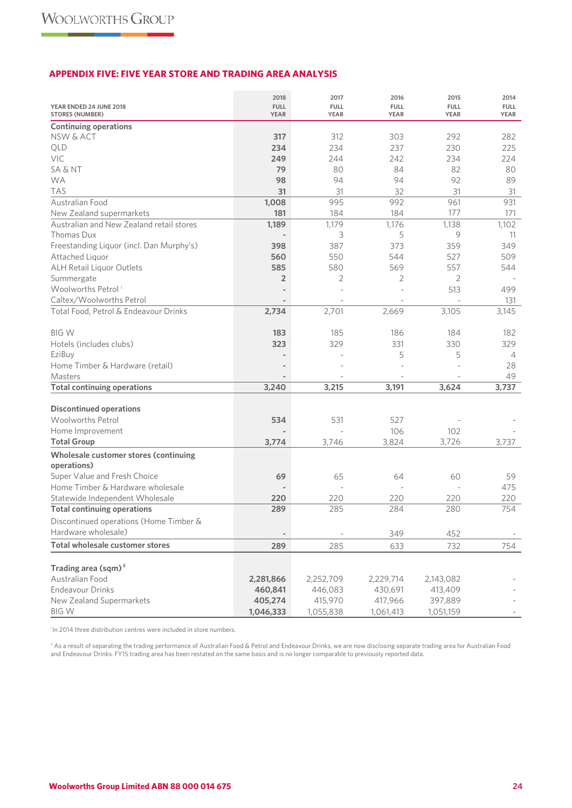## **APPENDIX FIVE: FIVE YEAR STORE AND TRADING AREA ANALYSIS**

|                                                     | 2018                       | 2017                       | 2016                       | 2015                       | 2014                |
|-----------------------------------------------------|----------------------------|----------------------------|----------------------------|----------------------------|---------------------|
| YEAR ENDED 24 JUNE 2018<br><b>STORES (NUMBER)</b>   | <b>FULL</b><br><b>YEAR</b> | <b>FULL</b><br><b>YEAR</b> | <b>FULL</b><br><b>YEAR</b> | <b>FULL</b><br><b>YEAR</b> | <b>FULL</b><br>YEAR |
| <b>Continuing operations</b>                        |                            |                            |                            |                            |                     |
| NSW & ACT                                           | 317                        | 312                        | 303                        | 292                        | 282                 |
| QLD                                                 | 234                        | 234                        | 237                        | 230                        | 225                 |
| VIC                                                 | 249                        | 244                        | 242                        | 234                        | 224                 |
| <b>SA &amp; NT</b>                                  | 79                         | 80                         | 84                         | 82                         | 80                  |
| <b>WA</b>                                           | 98                         | 94                         | 94                         | 92                         | 89                  |
| <b>TAS</b>                                          | 31                         | 31                         | 32                         | 31                         | 31                  |
| Australian Food                                     | 1,008                      | 995                        | 992                        | 961                        | 931                 |
| New Zealand supermarkets                            | 181                        | 184                        | 184                        | 177                        | 171                 |
| Australian and New Zealand retail stores            | 1,189                      | 1,179                      | 1,176                      | 1,138                      | 1,102               |
| Thomas Dux                                          |                            | 3                          | 5                          | 9                          | 11                  |
| Freestanding Liquor (incl. Dan Murphy's)            | 398                        | 387                        | 373                        | 359                        | 349                 |
| Attached Liquor                                     | 560                        | 550                        | 544                        | 527                        | 509                 |
| ALH Retail Liquor Outlets<br>Summergate             | 585<br>$\overline{2}$      | 580<br>$\overline{2}$      | 569<br>2                   | 557<br>2                   | 544                 |
| Woolworths Petrol <sup>i</sup>                      |                            |                            |                            | 513                        | 499                 |
| Caltex/Woolworths Petrol                            | $\overline{\phantom{a}}$   | $\overline{a}$             |                            |                            | 131                 |
| Total Food, Petrol & Endeavour Drinks               | 2,734                      | 2,701                      | 2,669                      | 3,105                      | 3,145               |
|                                                     |                            |                            |                            |                            |                     |
| <b>BIGW</b>                                         | 183                        | 185                        | 186                        | 184                        | 182                 |
| Hotels (includes clubs)                             | 323                        | 329                        | 331                        | 330                        | 329                 |
| EziBuy                                              |                            |                            | 5                          | 5                          | 4                   |
| Home Timber & Hardware (retail)                     |                            |                            |                            |                            | 28                  |
| Masters                                             |                            |                            |                            |                            | 49                  |
| <b>Total continuing operations</b>                  | 3,240                      | 3,215                      | 3,191                      | 3,624                      | 3,737               |
| <b>Discontinued operations</b>                      |                            |                            |                            |                            |                     |
| <b>Woolworths Petrol</b>                            | 534                        | 531                        | 527                        |                            |                     |
| Home Improvement                                    |                            |                            | 106                        | 102                        |                     |
| <b>Total Group</b>                                  | 3,774                      | 3,746                      | 3,824                      | 3,726                      | 3,737               |
| Wholesale customer stores (continuing               |                            |                            |                            |                            |                     |
| operations)                                         |                            |                            |                            |                            |                     |
| Super Value and Fresh Choice                        | 69                         | 65                         | 64                         | 60                         | 59                  |
| Home Timber & Hardware wholesale                    |                            |                            |                            |                            | 475                 |
| Statewide Independent Wholesale                     | 220                        | 220                        | 220                        | 220                        | 220                 |
| <b>Total continuing operations</b>                  | 289                        | 285                        | 284                        | 280                        | 754                 |
| Discontinued operations (Home Timber &              |                            |                            |                            |                            |                     |
| Hardware wholesale)                                 | $\overline{\phantom{a}}$   |                            | 349                        | 452                        |                     |
| Total wholesale customer stores                     | 289                        | 285                        | 633                        | 732                        | 754                 |
|                                                     |                            |                            |                            |                            |                     |
| Trading area (sqm) <sup>ii</sup><br>Australian Food | 2,281,866                  | 2,252,709                  | 2,229,714                  | 2,143,082                  |                     |
| <b>Endeavour Drinks</b>                             | 460,841                    | 446,083                    | 430,691                    | 413,409                    |                     |
| New Zealand Supermarkets                            | 405,274                    | 415,970                    | 417,966                    | 397,889                    |                     |
| <b>BIGW</b>                                         | 1,046,333                  | 1,055,838                  | 1,061,413                  | 1,051,159                  |                     |
|                                                     |                            |                            |                            |                            |                     |

<sup>i</sup> In 2014 three distribution centres were included in store numbers.

ii As a result of separating the trading performance of Australian Food & Petrol and Endeavour Drinks, we are now disclosing separate trading area for Australian Food and Endeavour Drinks. FY15 trading area has been restated on the same basis and is no longer comparable to previously reported data.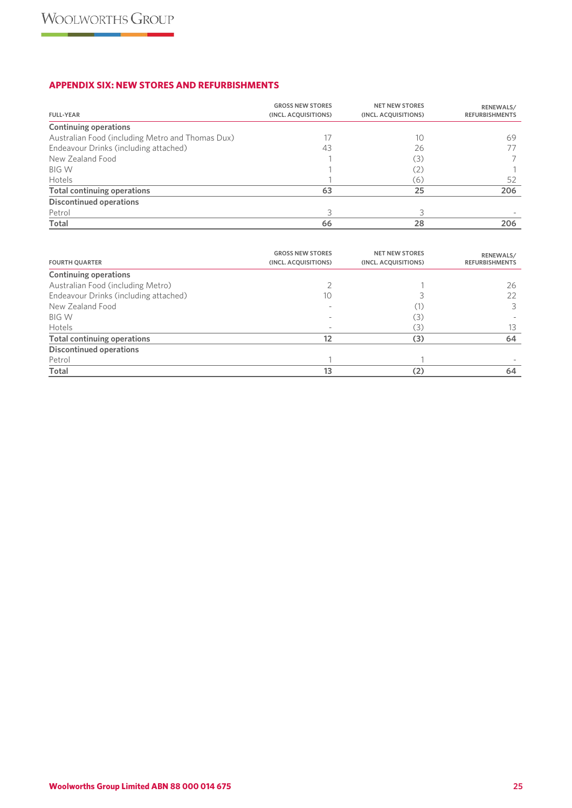# **APPENDIX SIX: NEW STORES AND REFURBISHMENTS**

| <b>FULL-YEAR</b>                                 | <b>GROSS NEW STORES</b><br>(INCL. ACQUISITIONS) | <b>NET NEW STORES</b><br>(INCL. ACQUISITIONS) | RENEWALS/<br><b>REFURBISHMENTS</b> |
|--------------------------------------------------|-------------------------------------------------|-----------------------------------------------|------------------------------------|
| <b>Continuing operations</b>                     |                                                 |                                               |                                    |
| Australian Food (including Metro and Thomas Dux) | 17                                              | 10                                            | 69                                 |
| Endeavour Drinks (including attached)            | 43                                              | 26                                            |                                    |
| New Zealand Food                                 |                                                 | (3)                                           |                                    |
| <b>BIG W</b>                                     |                                                 | (2)                                           |                                    |
| Hotels                                           |                                                 | (6)                                           | 52                                 |
| Total continuing operations                      | 63                                              | 25                                            | 206                                |
| <b>Discontinued operations</b>                   |                                                 |                                               |                                    |
| Petrol                                           | 3                                               |                                               |                                    |
| Total                                            | 66                                              | 28                                            | 206                                |

| <b>FOURTH QUARTER</b>                 | <b>GROSS NEW STORES</b><br>(INCL. ACQUISITIONS) | <b>NET NEW STORES</b><br>(INCL. ACQUISITIONS) | RENEWALS/<br><b>REFURBISHMENTS</b> |
|---------------------------------------|-------------------------------------------------|-----------------------------------------------|------------------------------------|
| <b>Continuing operations</b>          |                                                 |                                               |                                    |
| Australian Food (including Metro)     |                                                 |                                               | 26                                 |
| Endeavour Drinks (including attached) | 10                                              |                                               | 22                                 |
| New Zealand Food                      |                                                 | (1)                                           |                                    |
| <b>BIG W</b>                          |                                                 | (3)                                           |                                    |
| Hotels                                |                                                 | (3)                                           | 13                                 |
| <b>Total continuing operations</b>    | 12                                              | (3)                                           | 64                                 |
| <b>Discontinued operations</b>        |                                                 |                                               |                                    |
| Petrol                                |                                                 |                                               |                                    |
| Total                                 | 13                                              | (2)                                           | 64                                 |